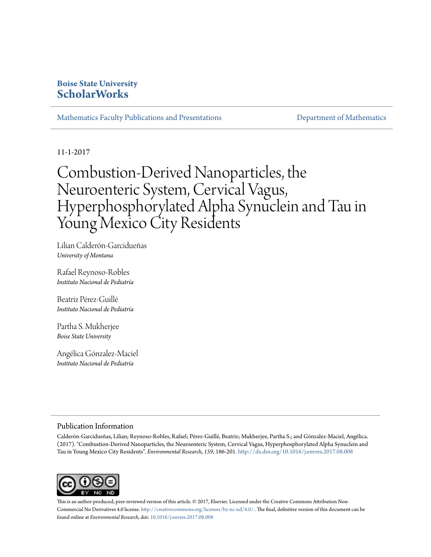## **Boise State University [ScholarWorks](https://scholarworks.boisestate.edu)**

[Mathematics Faculty Publications and Presentations](https://scholarworks.boisestate.edu/math_facpubs) **[Department of Mathematics](https://scholarworks.boisestate.edu/math)** 

11-1-2017

# Combustion-Derived Nanoparticles, the Neuroenteric System, Cervical Vagus, Hyperphosphorylated Alpha Synuclein and Tau in Young Mexico City Residents

Lilian Calderón-Garcidueñas *University of Montana*

Rafael Reynoso-Robles *Instituto Nacional de Pediatría*

Beatriz Pérez-Guillé *Instituto Nacional de Pediatría*

Partha S. Mukherjee *Boise State University*

Angélica Gónzalez-Maciel *Instituto Nacional de Pediatría*

#### Publication Information

Calderón-Garcidueñas, Lilian; Reynoso-Robles, Rafael; Pérez-Guillé, Beatriz; Mukherjee, Partha S.; and Gónzalez-Maciel, Angélica. (2017). "Combustion-Derived Nanoparticles, the Neuroenteric System, Cervical Vagus, Hyperphosphorylated Alpha Synuclein and Tau in Young Mexico City Residents". *Environmental Research, 159*, 186-201. <http://dx.doi.org/10.1016/j.envres.2017.08.008>



This is an author-produced, peer-reviewed version of this article. © 2017, Elsevier. Licensed under the Creative Commons Attribution Non-Commercial No Derivatives 4.0 license. <http://creativecommons.org/licenses/by-nc-nd/4.0/> . The final, definitive version of this document can be found online at *Environmental Research*, doi: [10.1016/j.envres.2017.08.008](http://dx.doi.org/10.1016/j.envres.2017.08.008)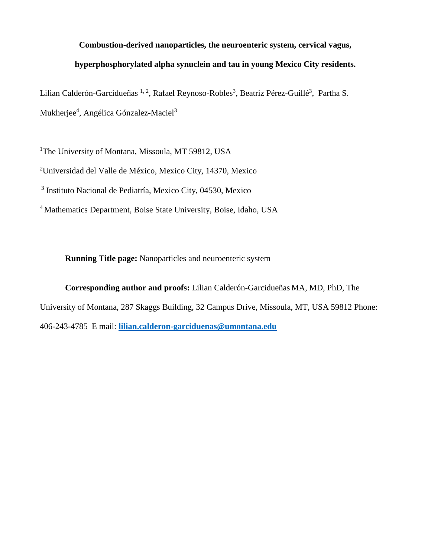## **Combustion-derived nanoparticles, the neuroenteric system, cervical vagus,**

## **hyperphosphorylated alpha synuclein and tau in young Mexico City residents.**

Lilian Calderón-Garcidueñas <sup>1, 2</sup>, Rafael Reynoso-Robles<sup>3</sup>, Beatriz Pérez-Guillé<sup>3</sup>, Partha S. Mukherjee<sup>4</sup>, Angélica Gónzalez-Maciel<sup>3</sup>

<sup>1</sup>The University of Montana, Missoula, MT 59812, USA

2 Universidad del Valle de México, Mexico City, 14370, Mexico

<sup>3</sup> Instituto Nacional de Pediatría, Mexico City, 04530, Mexico

4 Mathematics Department, Boise State University, Boise, Idaho, USA

**Running Title page:** Nanoparticles and neuroenteric system

**Corresponding author and proofs:** Lilian Calderón-Garcidueñas MA, MD, PhD, The University of Montana, 287 Skaggs Building, 32 Campus Drive, Missoula, MT, USA 59812 Phone: 406-243-4785 E mail: **[lilian.calderon-garciduenas@umontana.edu](mailto:lilian.calderon-garciduenas@umontana.edu)**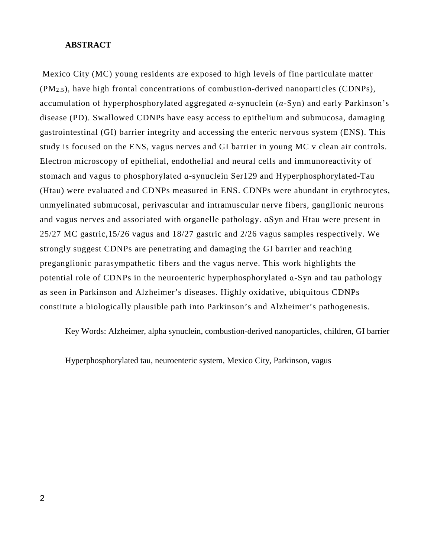#### **ABSTRACT**

Mexico City (MC) young residents are exposed to high levels of fine particulate matter (PM2.5), have high frontal concentrations of combustion-derived nanoparticles (CDNPs), accumulation of hyperphosphorylated aggregated *α*-synuclein (*α*-Syn) and early Parkinson's disease (PD). Swallowed CDNPs have easy access to epithelium and submucosa, damaging gastrointestinal (GI) barrier integrity and accessing the enteric nervous system (ENS). This study is focused on the ENS, vagus nerves and GI barrier in young MC v clean air controls. Electron microscopy of epithelial, endothelial and neural cells and immunoreactivity of stomach and vagus to phosphorylated ɑ-synuclein Ser129 and Hyperphosphorylated-Tau (Htau) were evaluated and CDNPs measured in ENS. CDNPs were abundant in erythrocytes, unmyelinated submucosal, perivascular and intramuscular nerve fibers, ganglionic neurons and vagus nerves and associated with organelle pathology. ɑSyn and Htau were present in 25/27 MC gastric,15/26 vagus and 18/27 gastric and 2/26 vagus samples respectively. We strongly suggest CDNPs are penetrating and damaging the GI barrier and reaching preganglionic parasympathetic fibers and the vagus nerve. This work highlights the potential role of CDNPs in the neuroenteric hyperphosphorylated ɑ-Syn and tau pathology as seen in Parkinson and Alzheimer's diseases. Highly oxidative, ubiquitous CDNPs constitute a biologically plausible path into Parkinson's and Alzheimer's pathogenesis.

Key Words: Alzheimer, alpha synuclein, combustion-derived nanoparticles, children, GI barrier

Hyperphosphorylated tau, neuroenteric system, Mexico City, Parkinson, vagus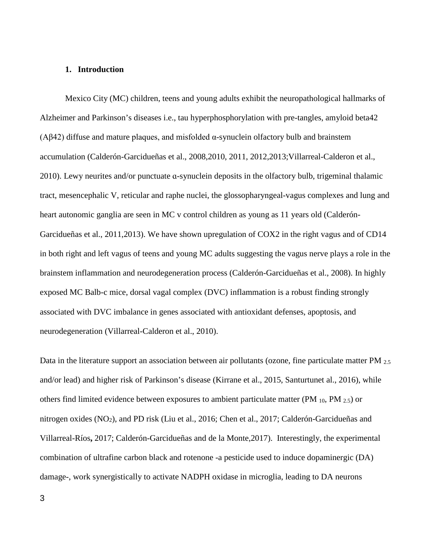#### **1. Introduction**

Mexico City (MC) children, teens and young adults exhibit the neuropathological hallmarks of Alzheimer and Parkinson's diseases i.e., tau hyperphosphorylation with pre-tangles, amyloid beta42 (Aβ42) diffuse and mature plaques, and misfolded α-synuclein olfactory bulb and brainstem accumulation (Calderón-Garcidueñas et al., 2008,2010, 2011, 2012,2013;Villarreal-Calderon et al., 2010). Lewy neurites and/or punctuate ɑ-synuclein deposits in the olfactory bulb, trigeminal thalamic tract, mesencephalic V, reticular and raphe nuclei, the glossopharyngeal-vagus complexes and lung and heart autonomic ganglia are seen in MC v control children as young as 11 years old (Calderón-Garcidueñas et al., 2011,2013). We have shown upregulation of COX2 in the right vagus and of CD14 in both right and left vagus of teens and young MC adults suggesting the vagus nerve plays a role in the brainstem inflammation and neurodegeneration process (Calderón-Garcidueñas et al., 2008). In highly exposed MC Balb-c mice, dorsal vagal complex (DVC) inflammation is a robust finding strongly associated with DVC imbalance in genes associated with antioxidant defenses, apoptosis, and neurodegeneration (Villarreal-Calderon et al., 2010).

Data in the literature support an association between air pollutants (ozone, fine particulate matter PM <sub>2.5</sub> and/or lead) and higher risk of Parkinson's disease (Kirrane et al., 2015, Santurtunet al., 2016), while others find limited evidence between exposures to ambient particulate matter (PM  $_{10}$ , PM  $_{2.5}$ ) or nitrogen oxides (NO2), and PD risk (Liu et al., 2016; Chen et al., 2017; Calderón-Garcidueñas and Villarreal-Ríos**,** 2017; Calderón-Garcidueñas and de la Monte,2017). Interestingly, the experimental combination of ultrafine carbon black and rotenone -a pesticide used to induce dopaminergic (DA) damage-, work synergistically to activate NADPH oxidase in microglia, leading to DA neurons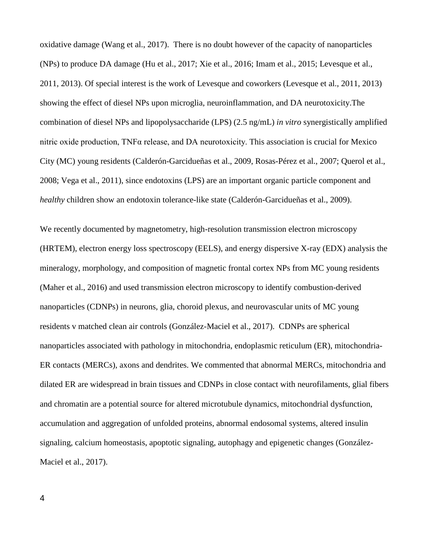oxidative damage (Wang et al., 2017). There is no doubt however of the capacity of nanoparticles (NPs) to produce DA damage (Hu et al., 2017; Xie et al., 2016; Imam et al., 2015; Levesque et al., 2011, 2013). Of special interest is the work of Levesque and coworkers (Levesque et al., 2011, 2013) showing the effect of diesel NPs upon microglia, neuroinflammation, and DA neurotoxicity.The combination of diesel NPs and lipopolysaccharide (LPS) (2.5 ng/mL) *in vitro* synergistically amplified nitric oxide production, TNFα release, and DA neurotoxicity. This association is crucial for Mexico City (MC) young residents (Calderón-Garcidueñas et al., 2009, Rosas-Pérez et al., 2007; Querol et al., 2008; Vega et al., 2011), since endotoxins (LPS) are an important organic particle component and *healthy* children show an endotoxin tolerance-like state (Calderón-Garcidueñas et al., 2009).

We recently documented by magnetometry, high-resolution transmission electron microscopy (HRTEM), electron energy loss spectroscopy (EELS), and energy dispersive X-ray (EDX) analysis the mineralogy, morphology, and composition of magnetic frontal cortex NPs from MC young residents (Maher et al., 2016) and used transmission electron microscopy to identify combustion-derived nanoparticles (CDNPs) in neurons, glia, choroid plexus, and neurovascular units of MC young residents v matched clean air controls (González-Maciel et al., 2017). CDNPs are spherical nanoparticles associated with pathology in mitochondria, endoplasmic reticulum (ER), mitochondria-ER contacts (MERCs), axons and dendrites. We commented that abnormal MERCs, mitochondria and dilated ER are widespread in brain tissues and CDNPs in close contact with neurofilaments, glial fibers and chromatin are a potential source for altered microtubule dynamics, mitochondrial dysfunction, accumulation and aggregation of unfolded proteins, abnormal endosomal systems, altered insulin signaling, calcium homeostasis, apoptotic signaling, autophagy and epigenetic changes (González-Maciel et al., 2017).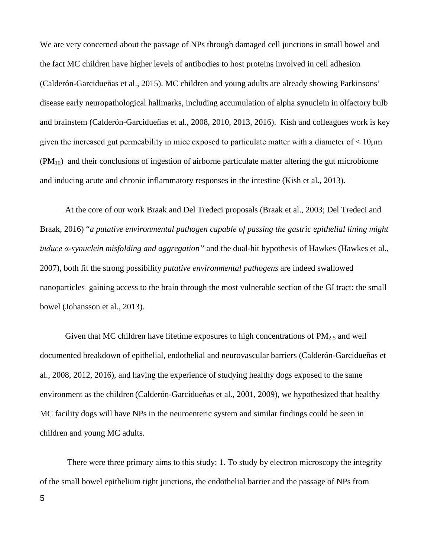We are very concerned about the passage of NPs through damaged cell junctions in small bowel and the fact MC children have higher levels of antibodies to host proteins involved in cell adhesion (Calderón-Garcidueñas et al., 2015). MC children and young adults are already showing Parkinsons' disease early neuropathological hallmarks, including accumulation of alpha synuclein in olfactory bulb and brainstem (Calderón-Garcidueñas et al., 2008, 2010, 2013, 2016). Kish and colleagues work is key given the increased gut permeability in mice exposed to particulate matter with a diameter of < 10μm  $(PM_{10})$  and their conclusions of ingestion of airborne particulate matter altering the gut microbiome and inducing acute and chronic inflammatory responses in the intestine (Kish et al., 2013).

At the core of our work Braak and Del Tredeci proposals (Braak et al., 2003; Del Tredeci and Braak, 2016) "*a putative environmental pathogen capable of passing the gastric epithelial lining might induce α-synuclein misfolding and aggregation"* and the dual-hit hypothesis of Hawkes (Hawkes et al., 2007), both fit the strong possibility *putative environmental pathogens* are indeed swallowed nanoparticles gaining access to the brain through the most vulnerable section of the GI tract: the small bowel (Johansson et al., 2013).

Given that MC children have lifetime exposures to high concentrations of  $PM_{2.5}$  and well documented breakdown of epithelial, endothelial and neurovascular barriers (Calderón-Garcidueñas et al., 2008, 2012, 2016), and having the experience of studying healthy dogs exposed to the same environment as the children (Calderón-Garcidueñas et al., 2001, 2009), we hypothesized that healthy MC facility dogs will have NPs in the neuroenteric system and similar findings could be seen in children and young MC adults.

There were three primary aims to this study: 1. To study by electron microscopy the integrity of the small bowel epithelium tight junctions, the endothelial barrier and the passage of NPs from 5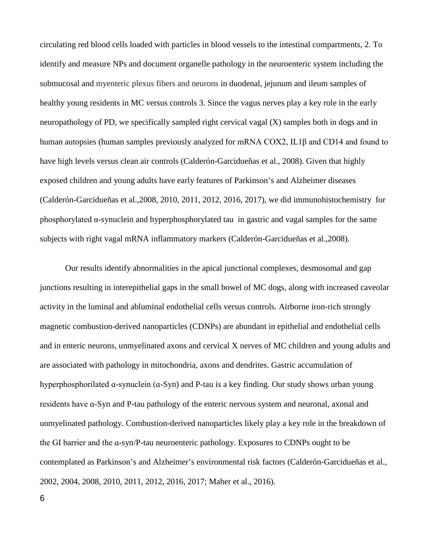circulating red blood cells loaded with particles in blood vessels to the intestinal compartments, 2. To identify and measure NPs and document organelle pathology in the neuroenteric system including the submucosal and myenteric plexus fibers and neurons in duodenal, jejunum and ileum samples of healthy young residents in MC versus controls 3. Since the vagus nerves play a key role in the early neuropathology of PD, we specifically sampled right cervical vagal (X) samples both in dogs and in human autopsies (human samples previously analyzed for mRNA COX2, IL1β and CD14 and found to have high levels versus clean air controls (Calderón-Garcidueñas et al., 2008). Given that highly exposed children and young adults have early features of Parkinson's and Alzheimer diseases (Calderón-Garcidueñas et al.,2008, 2010, 2011, 2012, 2016, 2017), we did immunohistochemistry for phosphorylated α-synuclein and hyperphosphorylated tau in gastric and vagal samples for the same subjects with right vagal mRNA inflammatory markers (Calderón-Garcidueñas et al.,2008).

Our results identify abnormalities in the apical junctional complexes, desmosomal and gap junctions resulting in interepithelial gaps in the small bowel of MC dogs, along with increased caveolar activity in the luminal and abluminal endothelial cells versus controls. Airborne iron-rich strongly magnetic combustion-derived nanoparticles (CDNPs) are abundant in epithelial and endothelial cells and in enteric neurons, unmyelinated axons and cervical X nerves of MC children and young adults and are associated with pathology in mitochondria, axons and dendrites. Gastric accumulation of hyperphosphorilated a-synuclein (a-Syn) and P-tau is a key finding. Our study shows urban young residents have ɑ-Syn and P-tau pathology of the enteric nervous system and neuronal, axonal and unmyelinated pathology. Combustion-derived nanoparticles likely play a key role in the breakdown of the GI barrier and the ɑ-syn/P-tau neuroenteric pathology. Exposures to CDNPs ought to be contemplated as Parkinson's and Alzheimer's environmental risk factors (Calderón-Garcidueñas et al., 2002, 2004, 2008, 2010, 2011, 2012, 2016, 2017; Maher et al., 2016).

6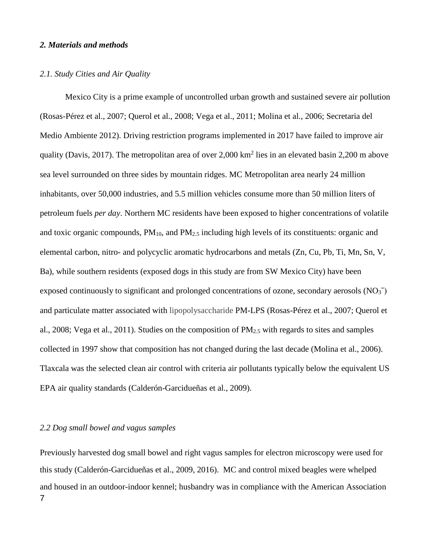#### *2. Materials and methods*

#### *2.1. Study Cities and Air Quality*

Mexico City is a prime example of uncontrolled urban growth and sustained severe air pollution (Rosas-Pérez et al., 2007; Querol et al., 2008; Vega et al., 2011; Molina et al., 2006; Secretaria del Medio Ambiente 2012). Driving restriction programs implemented in 2017 have failed to improve air quality (Davis, 2017). The metropolitan area of over  $2,000 \text{ km}^2$  lies in an elevated basin 2,200 m above sea level surrounded on three sides by mountain ridges. MC Metropolitan area nearly 24 million inhabitants, over 50,000 industries, and 5.5 million vehicles consume more than 50 million liters of petroleum fuels *per day*. Northern MC residents have been exposed to higher concentrations of volatile and toxic organic compounds,  $PM_{10}$ , and  $PM_{2.5}$  including high levels of its constituents: organic and elemental carbon, nitro- and polycyclic aromatic hydrocarbons and metals (Zn, Cu, Pb, Ti, Mn, Sn, V, Ba), while southern residents (exposed dogs in this study are from SW Mexico City) have been exposed continuously to significant and prolonged concentrations of ozone, secondary aerosols  $(NO<sub>3</sub><sup>-</sup>)$ and particulate matter associated with lipopolysaccharide PM-LPS (Rosas-Pérez et al., 2007; Querol et al., 2008; Vega et al., 2011). Studies on the composition of  $PM_{2.5}$  with regards to sites and samples collected in 1997 show that composition has not changed during the last decade (Molina et al., 2006). Tlaxcala was the selected clean air control with criteria air pollutants typically below the equivalent US EPA air quality standards (Calderón-Garcidueñas et al., 2009).

## *2.2 Dog small bowel and vagus samples*

Previously harvested dog small bowel and right vagus samples for electron microscopy were used for this study (Calderón-Garcidueñas et al., 2009, 2016). MC and control mixed beagles were whelped and housed in an outdoor-indoor kennel; husbandry was in compliance with the American Association 7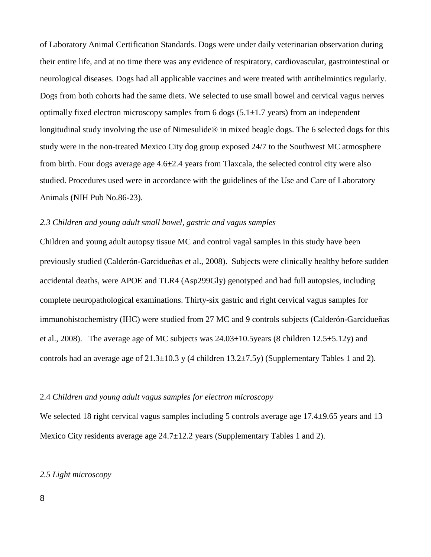of Laboratory Animal Certification Standards. Dogs were under daily veterinarian observation during their entire life, and at no time there was any evidence of respiratory, cardiovascular, gastrointestinal or neurological diseases. Dogs had all applicable vaccines and were treated with antihelmintics regularly. Dogs from both cohorts had the same diets. We selected to use small bowel and cervical vagus nerves optimally fixed electron microscopy samples from 6 dogs  $(5.1 \pm 1.7 \text{ years})$  from an independent longitudinal study involving the use of Nimesulide® in mixed beagle dogs. The 6 selected dogs for this study were in the non-treated Mexico City dog group exposed 24/7 to the Southwest MC atmosphere from birth. Four dogs average age 4.6±2.4 years from Tlaxcala, the selected control city were also studied. Procedures used were in accordance with the guidelines of the Use and Care of Laboratory Animals (NIH Pub No.86-23).

## *2.3 Children and young adult small bowel, gastric and vagus samples*

Children and young adult autopsy tissue MC and control vagal samples in this study have been previously studied (Calderón-Garcidueñas et al., 2008). Subjects were clinically healthy before sudden accidental deaths, were APOE and TLR4 (Asp299Gly) genotyped and had full autopsies, including complete neuropathological examinations. Thirty-six gastric and right cervical vagus samples for immunohistochemistry (IHC) were studied from 27 MC and 9 controls subjects (Calderón-Garcidueñas et al., 2008). The average age of MC subjects was  $24.03 \pm 10.5$  years (8 children 12.5 $\pm$ 5.12y) and controls had an average age of  $21.3\pm10.3$  y (4 children  $13.2\pm7.5$ y) (Supplementary Tables 1 and 2).

## 2.4 *Children and young adult vagus samples for electron microscopy*

We selected 18 right cervical vagus samples including 5 controls average age 17.4±9.65 years and 13 Mexico City residents average age 24.7±12.2 years (Supplementary Tables 1 and 2).

## *2.5 Light microscopy*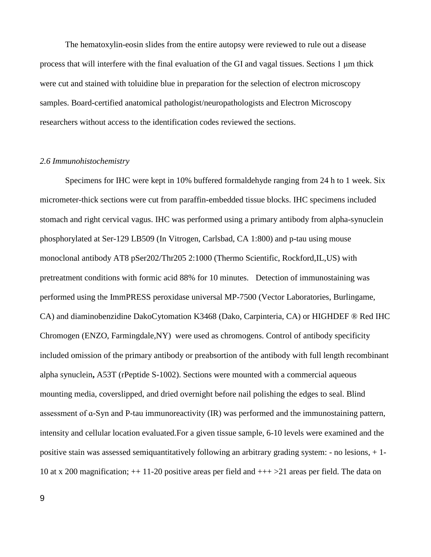The hematoxylin-eosin slides from the entire autopsy were reviewed to rule out a disease process that will interfere with the final evaluation of the GI and vagal tissues. Sections 1 μm thick were cut and stained with toluidine blue in preparation for the selection of electron microscopy samples. Board-certified anatomical pathologist/neuropathologists and Electron Microscopy researchers without access to the identification codes reviewed the sections.

#### *2.6 Immunohistochemistry*

Specimens for IHC were kept in 10% buffered [formaldehyde](http://topics.sciencedirect.com/topics/page/Formaldehyde) ranging from 24 h to 1 week. Six micrometer-thick sections were cut from paraffin-embedded tissue blocks. IHC specimens included stomach and right cervical vagus. IHC was performed using a primary antibody from alpha-synuclein phosphorylated at Ser-129 LB509 (In Vitrogen, Carlsbad, CA 1:800) and p-tau using mouse monoclonal antibody AT8 pSer202/Thr205 2:1000 (Thermo Scientific, Rockford,IL,US) with pretreatment conditions with formic acid 88% for 10 minutes. Detection of immunostaining was performed using the ImmPRESS peroxidase universal MP-7500 (Vector Laboratories, Burlingame, CA) and diaminobenzidine DakoCytomation K3468 (Dako, Carpinteria, CA) or HIGHDEF ® Red IHC Chromogen (ENZO, Farmingdale,NY) were used as chromogens. Control of [antibody](http://topics.sciencedirect.com/topics/page/Antibodies) specificity included omission of the primary antibody or preabsortion of the antibody with full length recombinant [alpha synuclein](http://topics.sciencedirect.com/topics/page/Alpha-synuclein)**,** A53T (rPeptide S-1002). Sections were mounted with a commercial aqueous mounting media, coverslipped, and dried overnight before nail polishing the edges to seal. Blind assessment of ɑ-Syn and P-tau immunoreactivity (IR) was performed and the immunostaining pattern, intensity and cellular location evaluated.For a given tissue sample, 6-10 levels were examined and the positive stain was assessed semiquantitatively following an arbitrary grading system: - no lesions, + 1- 10 at x 200 magnification; ++ 11-20 positive areas per field and +++ >21 areas per field. The data on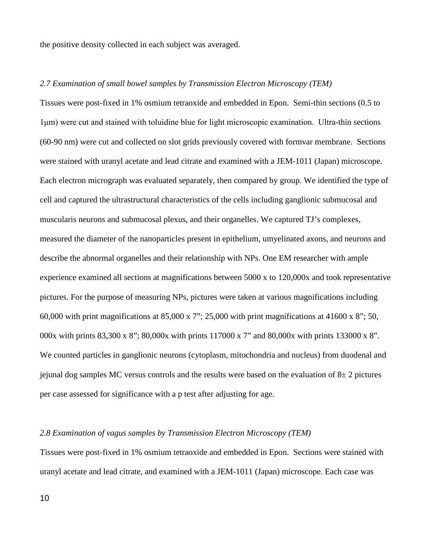the positive density collected in each subject was averaged.

## *2.7 Examination of small bowel samples by Transmission Electron Microscopy (TEM)*

Tissues were post-fixed in 1% osmium tetraoxide and embedded in Epon. Semi-thin sections (0.5 to 1μm) were cut and stained with toluidine blue for light microscopic examination. Ultra-thin sections (60-90 nm) were cut and collected on slot grids previously covered with formvar membrane. Sections were stained with uranyl acetate and lead citrate and examined with a JEM-1011 (Japan) microscope. Each electron micrograph was evaluated separately, then compared by group. We identified the type of cell and captured the ultrastructural characteristics of the cells including ganglionic submucosal and muscularis neurons and submucosal plexus, and their organelles. We captured TJ's complexes, measured the diameter of the nanoparticles present in epithelium, umyelinated axons, and neurons and describe the abnormal organelles and their relationship with NPs. One EM researcher with ample experience examined all sections at magnifications between 5000 x to 120,000x and took representative pictures. For the purpose of measuring NPs, pictures were taken at various magnifications including 60,000 with print magnifications at  $85,000 \times 7$ "; 25,000 with print magnifications at  $41600 \times 8$ "; 50, 000x with prints 83,300 x 8"; 80,000x with prints 117000 x 7" and 80,000x with prints 133000 x 8". We counted particles in ganglionic neurons (cytoplasm, mitochondria and nucleus) from duodenal and jejunal dog samples MC versus controls and the results were based on the evaluation of  $8\pm 2$  pictures per case assessed for significance with a p test after adjusting for age.

## *2.8 Examination of vagus samples by Transmission Electron Microscopy (TEM)*

Tissues were post-fixed in 1% osmium tetraoxide and embedded in Epon. Sections were stained with uranyl acetate and lead citrate, and examined with a JEM-1011 (Japan) microscope. Each case was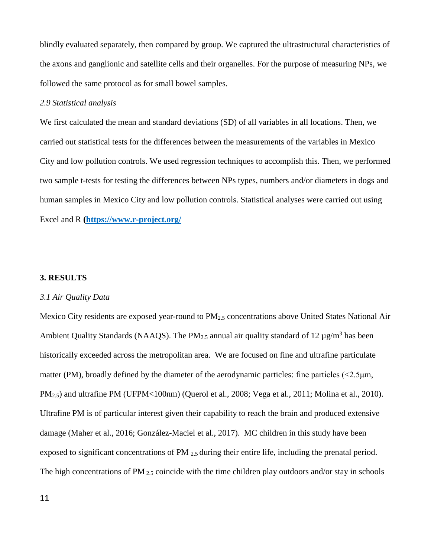blindly evaluated separately, then compared by group. We captured the ultrastructural characteristics of the axons and ganglionic and satellite cells and their organelles. For the purpose of measuring NPs, we followed the same protocol as for small bowel samples.

#### *2.9 Statistical analysis*

We first calculated the mean and standard deviations (SD) of all variables in all locations. Then, we carried out statistical tests for the differences between the measurements of the variables in Mexico City and low pollution controls. We used regression techniques to accomplish this. Then, we performed two sample t-tests for testing the differences between NPs types, numbers and/or diameters in dogs and human samples in Mexico City and low pollution controls. Statistical analyses were carried out using Excel and R **[\(https://www.r-project.org/](https://www.r-project.org/)**

## **3. RESULTS**

#### *3.1 Air Quality Data*

Mexico City residents are exposed year-round to PM<sub>2.5</sub> concentrations above United States National Air Ambient Quality Standards (NAAQS). The PM<sub>2.5</sub> annual air quality standard of 12  $\mu$ g/m<sup>3</sup> has been historically exceeded across the metropolitan area. We are focused on fine and ultrafine particulate matter (PM), broadly defined by the diameter of the aerodynamic particles: fine particles (<2.5 um, PM<sub>2.5</sub>) and ultrafine PM (UFPM<100nm) (Querol et al., 2008; Vega et al., 2011; Molina et al., 2010). Ultrafine PM is of particular interest given their capability to reach the brain and produced extensive damage (Maher et al., 2016; González-Maciel et al., 2017). MC children in this study have been exposed to significant concentrations of PM 2.5 during their entire life, including the prenatal period. The high concentrations of PM 2.5 coincide with the time children play outdoors and/or stay in schools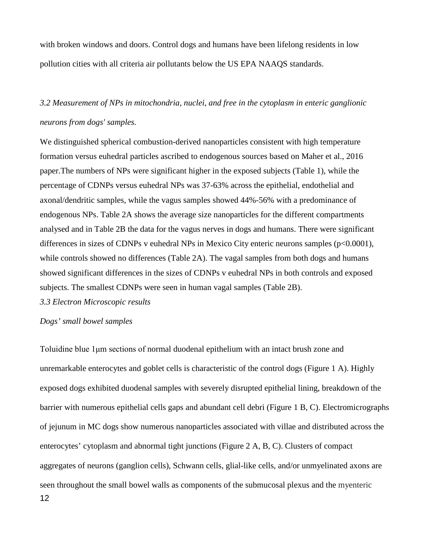with broken windows and doors. Control dogs and humans have been lifelong residents in low pollution cities with all criteria air pollutants below the US EPA NAAQS standards.

## *3.2 Measurement of NPs in mitochondria, nuclei, and free in the cytoplasm in enteric ganglionic neurons from dogs' samples.*

We distinguished spherical combustion-derived nanoparticles consistent with high temperature formation versus euhedral particles ascribed to endogenous sources based on Maher et al., 2016 paper.The numbers of NPs were significant higher in the exposed subjects (Table 1), while the percentage of CDNPs versus euhedral NPs was 37-63% across the epithelial, endothelial and axonal/dendritic samples, while the vagus samples showed 44%-56% with a predominance of endogenous NPs. Table 2A shows the average size nanoparticles for the different compartments analysed and in Table 2B the data for the vagus nerves in dogs and humans. There were significant differences in sizes of CDNPs v euhedral NPs in Mexico City enteric neurons samples (p<0.0001), while controls showed no differences (Table 2A). The vagal samples from both dogs and humans showed significant differences in the sizes of CDNPs v euhedral NPs in both controls and exposed subjects. The smallest CDNPs were seen in human vagal samples (Table 2B).

*3.3 Electron Microscopic results*

## *Dogs' small bowel samples*

Toluidine blue 1μm sections of normal duodenal epithelium with an intact brush zone and unremarkable enterocytes and goblet cells is characteristic of the control dogs (Figure 1 A). Highly exposed dogs exhibited duodenal samples with severely disrupted epithelial lining, breakdown of the barrier with numerous epithelial cells gaps and abundant cell debri (Figure 1 B, C). Electromicrographs of jejunum in MC dogs show numerous nanoparticles associated with villae and distributed across the enterocytes' cytoplasm and abnormal tight junctions (Figure 2 A, B, C). Clusters of compact aggregates of neurons (ganglion cells), Schwann cells, glial-like cells, and/or unmyelinated axons are seen throughout the small bowel walls as components of the submucosal plexus and the myenteric 12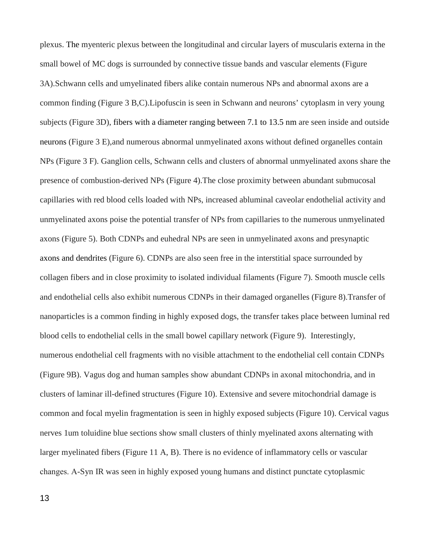plexus. The myenteric plexus between the longitudinal and circular layers of muscularis externa in the small bowel of MC dogs is surrounded by connective tissue bands and vascular elements (Figure 3A).Schwann cells and umyelinated fibers alike contain numerous NPs and abnormal axons are a common finding (Figure 3 B,C).Lipofuscin is seen in Schwann and neurons' cytoplasm in very young subjects (Figure 3D), fibers with a diameter ranging between 7.1 to 13.5 nm are seen inside and outside neurons (Figure 3 E),and numerous abnormal unmyelinated axons without defined organelles contain NPs (Figure 3 F). Ganglion cells, Schwann cells and clusters of abnormal unmyelinated axons share the presence of combustion-derived NPs (Figure 4).The close proximity between abundant submucosal capillaries with red blood cells loaded with NPs, increased abluminal caveolar endothelial activity and unmyelinated axons poise the potential transfer of NPs from capillaries to the numerous unmyelinated axons (Figure 5). Both CDNPs and euhedral NPs are seen in unmyelinated axons and presynaptic axons and dendrites (Figure 6). CDNPs are also seen free in the interstitial space surrounded by collagen fibers and in close proximity to isolated individual filaments (Figure 7). Smooth muscle cells and endothelial cells also exhibit numerous CDNPs in their damaged organelles (Figure 8).Transfer of nanoparticles is a common finding in highly exposed dogs, the transfer takes place between luminal red blood cells to endothelial cells in the small bowel capillary network (Figure 9). Interestingly, numerous endothelial cell fragments with no visible attachment to the endothelial cell contain CDNPs (Figure 9B). Vagus dog and human samples show abundant CDNPs in axonal mitochondria, and in clusters of laminar ill-defined structures (Figure 10). Extensive and severe mitochondrial damage is common and focal myelin fragmentation is seen in highly exposed subjects (Figure 10). Cervical vagus nerves 1um toluidine blue sections show small clusters of thinly myelinated axons alternating with larger myelinated fibers (Figure 11 A, B). There is no evidence of inflammatory cells or vascular changes. Α-Syn IR was seen in highly exposed young humans and distinct punctate cytoplasmic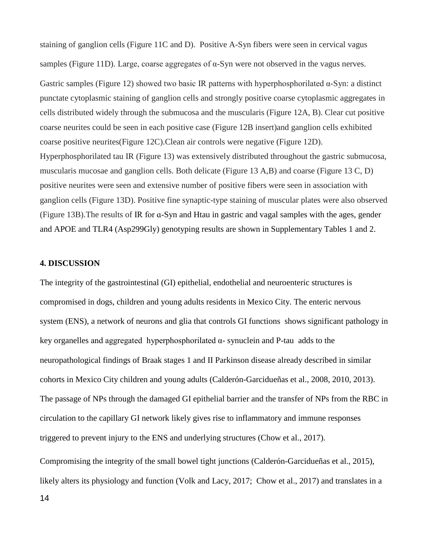staining of ganglion cells (Figure 11C and D). Positive A-Syn fibers were seen in cervical vagus samples (Figure 11D). Large, coarse aggregates of α-Syn were not observed in the vagus nerves. Gastric samples (Figure 12) showed two basic IR patterns with hyperphosphorilated α-Syn: a distinct punctate cytoplasmic staining of ganglion cells and strongly positive coarse cytoplasmic aggregates in cells distributed widely through the submucosa and the muscularis (Figure 12A, B). Clear cut positive coarse neurites could be seen in each positive case (Figure 12B insert)and ganglion cells exhibited coarse positive neurites(Figure 12C).Clean air controls were negative (Figure 12D). Hyperphosphorilated tau IR (Figure 13) was extensively distributed throughout the gastric submucosa, muscularis mucosae and ganglion cells. Both delicate (Figure 13 A,B) and coarse (Figure 13 C, D) positive neurites were seen and extensive number of positive fibers were seen in association with ganglion cells (Figure 13D). Positive fine synaptic-type staining of muscular plates were also observed (Figure 13B).The results of IR for ɑ-Syn and Htau in gastric and vagal samples with the ages, gender and APOE and TLR4 (Asp299Gly) genotyping results are shown in Supplementary Tables 1 and 2.

## **4. DISCUSSION**

The integrity of the gastrointestinal (GI) epithelial, endothelial and neuroenteric structures is compromised in dogs, children and young adults residents in Mexico City. The enteric nervous system (ENS), a network of neurons and glia that controls GI functions shows significant pathology in key organelles and aggregated hyperphosphorilated α- synuclein and P-tau adds to the neuropathological findings of Braak stages 1 and II Parkinson disease already described in similar cohorts in Mexico City children and young adults (Calderón-Garcidueñas et al., 2008, 2010, 2013). The passage of NPs through the damaged GI epithelial barrier and the transfer of NPs from the RBC in circulation to the capillary GI network likely gives rise to inflammatory and immune responses triggered to prevent injury to the ENS and underlying structures (Chow et al., 2017).

Compromising the integrity of the small bowel tight junctions (Calderón-Garcidueñas et al., 2015), likely alters its physiology and function (Volk and Lacy, 2017; Chow et al., 2017) and translates in a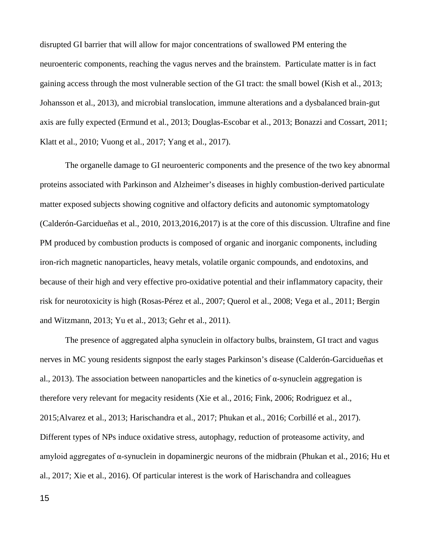disrupted GI barrier that will allow for major concentrations of swallowed PM entering the neuroenteric components, reaching the vagus nerves and the brainstem. Particulate matter is in fact gaining access through the most vulnerable section of the GI tract: the small bowel (Kish et al., 2013; Johansson et al., 2013), and microbial translocation, immune alterations and a dysbalanced brain-gut axis are fully expected (Ermund et al., 2013; Douglas-Escobar et al., 2013; Bonazzi and Cossart, 2011; Klatt et al., 2010; Vuong et al., 2017; Yang et al., 2017).

The organelle damage to GI neuroenteric components and the presence of the two key abnormal proteins associated with Parkinson and Alzheimer's diseases in highly combustion-derived particulate matter exposed subjects showing cognitive and olfactory deficits and autonomic symptomatology (Calderón-Garcidueñas et al., 2010, 2013,2016,2017) is at the core of this discussion. Ultrafine and fine PM produced by combustion products is composed of organic and inorganic components, including iron-rich magnetic nanoparticles, heavy metals, volatile organic compounds, and endotoxins, and because of their high and very effective pro-oxidative potential and their inflammatory capacity, their risk for neurotoxicity is high (Rosas-Pérez et al., 2007; Querol et al., 2008; Vega et al., 2011; Bergin and Witzmann, 2013; Yu et al., 2013; Gehr et al., 2011).

The presence of aggregated alpha synuclein in olfactory bulbs, brainstem, GI tract and vagus nerves in MC young residents signpost the early stages Parkinson's disease (Calderón-Garcidueñas et al., 2013). The association between nanoparticles and the kinetics of  $\alpha$ -synuclein aggregation is therefore very relevant for megacity residents (Xie et al., 2016; Fink, 2006; Rodriguez et al., 2015;Alvarez et al., 2013; Harischandra et al., 2017; Phukan et al., 2016; Corbillé et al., 2017). Different types of NPs induce oxidative stress, autophagy, reduction of proteasome activity, and amyloid aggregates of α-synuclein in dopaminergic neurons of the midbrain (Phukan et al., 2016; Hu et al., 2017; Xie et al., 2016). Of particular interest is the work of Harischandra and colleagues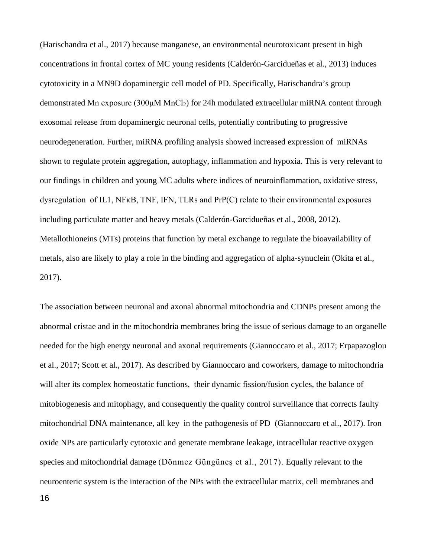(Harischandra et al., 2017) because manganese, an environmental neurotoxicant present in high concentrations in frontal cortex of MC young residents (Calderón-Garcidueñas et al., 2013) induces cytotoxicity in a MN9D dopaminergic cell model of PD. Specifically, Harischandra's group demonstrated Mn exposure (300μM MnCl<sub>2</sub>) for 24h modulated extracellular miRNA content through exosomal release from dopaminergic neuronal cells, potentially contributing to progressive neurodegeneration. Further, miRNA profiling analysis showed increased expression of miRNAs shown to regulate protein aggregation, autophagy, inflammation and hypoxia. This is very relevant to our findings in children and young MC adults where indices of neuroinflammation, oxidative stress, dysregulation of IL1, NFκB, TNF, IFN, TLRs and PrP(C) relate to their environmental exposures including particulate matter and heavy metals (Calderón-Garcidueñas et al., 2008, 2012). Metallothioneins (MTs) proteins that function by metal exchange to regulate the bioavailability of metals, also are likely to play a role in the binding and aggregation of alpha-synuclein (Okita et al., 2017).

The association between neuronal and axonal abnormal mitochondria and CDNPs present among the abnormal cristae and in the mitochondria membranes bring the issue of serious damage to an organelle needed for the high energy neuronal and axonal requirements (Giannoccaro et al., 2017; Erpapazoglou et al., 2017; Scott et al., 2017). As described by Giannoccaro and coworkers, damage to mitochondria will alter its complex homeostatic functions, their dynamic fission/fusion cycles, the balance of mitobiogenesis and mitophagy, and consequently the quality control surveillance that corrects faulty mitochondrial DNA maintenance, all key in the pathogenesis of PD (Giannoccaro et al., 2017). Iron oxide NPs are particularly cytotoxic and generate membrane leakage, intracellular reactive oxygen species and mitochondrial damage (Dönmez Güngüneş et al., 2017). Equally relevant to the neuroenteric system is the interaction of the NPs with the extracellular matrix, cell membranes and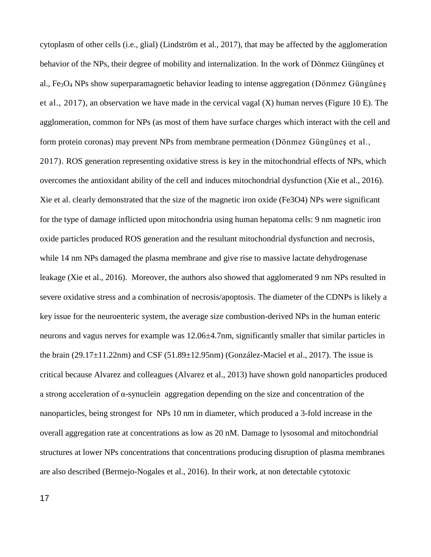cytoplasm of other cells (i.e., glial) (Lindström et al., 2017), that may be affected by the agglomeration behavior of the NPs, their degree of mobility and internalization. In the work of Dönmez Güngüneş et al.,  $Fe<sub>3</sub>O<sub>4</sub>$  NPs show superparamagnetic behavior leading to intense aggregation (Dönmez Güngünes et al., 2017), an observation we have made in the cervical vagal (X) human nerves (Figure 10 E). The agglomeration, common for NPs (as most of them have surface charges which interact with the cell and form protein coronas) may prevent NPs from membrane permeation (Dönmez Güngüneş et al., 2017). ROS generation representing oxidative stress is key in the mitochondrial effects of NPs, which overcomes the antioxidant ability of the cell and induces mitochondrial dysfunction (Xie et al., 2016). Xie et al. clearly demonstrated that the size of the magnetic iron oxide (Fe3O4) NPs were significant for the type of damage inflicted upon mitochondria using human hepatoma cells: 9 nm magnetic iron oxide particles produced ROS generation and the resultant mitochondrial dysfunction and necrosis, while 14 nm NPs damaged the plasma membrane and give rise to massive lactate dehydrogenase leakage (Xie et al., 2016). Moreover, the authors also showed that agglomerated 9 nm NPs resulted in severe oxidative stress and a combination of necrosis/apoptosis. The diameter of the CDNPs is likely a key issue for the neuroenteric system, the average size combustion-derived NPs in the human enteric neurons and vagus nerves for example was 12.06±4.7nm, significantly smaller that similar particles in the brain (29.17±11.22nm) and CSF (51.89±12.95nm) (González-Maciel et al., 2017). The issue is critical because Alvarez and colleagues (Alvarez et al., 2013) have shown gold nanoparticles produced a strong acceleration of α-synuclein aggregation depending on the size and concentration of the nanoparticles, being strongest for NPs 10 nm in diameter, which produced a 3-fold increase in the overall aggregation rate at concentrations as low as 20 nM. Damage to lysosomal and mitochondrial structures at lower NPs concentrations that concentrations producing disruption of plasma membranes are also described (Bermejo-Nogales et al., 2016). In their work, at non detectable cytotoxic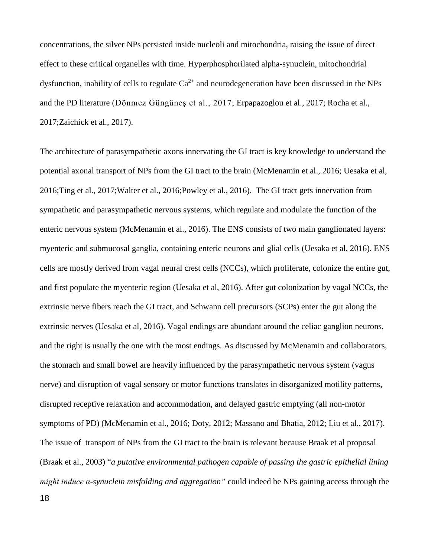concentrations, the silver NPs persisted inside nucleoli and mitochondria, raising the issue of direct effect to these critical organelles with time. Hyperphosphorilated alpha-synuclein, mitochondrial dysfunction, inability of cells to regulate  $Ca^{2+}$  and neurodegeneration have been discussed in the NPs and the PD literature (Dönmez Güngüneş et al., 2017; Erpapazoglou et al., 2017; Rocha et al., 2017;Zaichick et al., 2017).

The architecture of parasympathetic axons innervating the GI tract is key knowledge to understand the potential axonal transport of NPs from the GI tract to the brain (McMenamin et al., 2016; Uesaka et al, 2016;Ting et al., 2017;Walter et al., 2016;Powley et al., 2016). The GI tract gets innervation from sympathetic and parasympathetic nervous systems, which regulate and modulate the function of the enteric nervous system (McMenamin et al., 2016). The ENS consists of two main ganglionated layers: myenteric and submucosal ganglia, containing enteric neurons and glial cells (Uesaka et al, 2016). ENS cells are mostly derived from vagal neural crest cells (NCCs), which proliferate, colonize the entire gut, and first populate the myenteric region (Uesaka et al, 2016). After gut colonization by vagal NCCs, the extrinsic nerve fibers reach the GI tract, and Schwann cell precursors (SCPs) enter the gut along the extrinsic nerves (Uesaka et al, 2016). Vagal endings are abundant around the celiac ganglion neurons, and the right is usually the one with the most endings. As discussed by McMenamin and collaborators, the stomach and small bowel are heavily influenced by the parasympathetic nervous system (vagus nerve) and disruption of vagal sensory or motor functions translates in disorganized motility patterns, disrupted receptive relaxation and accommodation, and delayed gastric emptying (all non-motor symptoms of PD) (McMenamin et al., 2016; Doty, 2012; Massano and Bhatia, 2012; Liu et al., 2017). The issue of transport of NPs from the GI tract to the brain is relevant because Braak et al proposal (Braak et al., 2003) "*a putative environmental pathogen capable of passing the gastric epithelial lining might induce α-synuclein misfolding and aggregation"* could indeed be NPs gaining access through the 18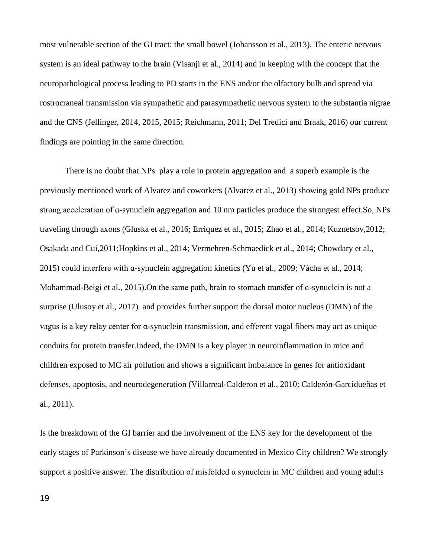most vulnerable section of the GI tract: the small bowel (Johansson et al., 2013). The enteric nervous system is an ideal pathway to the brain (Visanji et al., 2014) and in keeping with the concept that the neuropathological process leading to PD starts in the ENS and/or the olfactory bulb and spread via rostrocraneal transmission via sympathetic and parasympathetic nervous system to the substantia nigrae and the CNS (Jellinger, 2014, 2015, 2015; Reichmann, 2011; Del Tredici and Braak, 2016) our current findings are pointing in the same direction.

There is no doubt that NPs play a role in protein aggregation and a superb example is the previously mentioned work of Alvarez and coworkers (Alvarez et al., 2013) showing gold NPs produce strong acceleration of ɑ-synuclein aggregation and 10 nm particles produce the strongest effect.So, NPs traveling through axons (Gluska et al., 2016; Erriquez et al., 2015; Zhao et al., 2014; Kuznetsov,2012; Osakada and Cui,2011;Hopkins et al., 2014; Vermehren-Schmaedick et al., 2014; Chowdary et al., 2015) could interfere with ɑ-synuclein aggregation kinetics (Yu et al., 2009; Vácha et al., 2014; Mohammad-Beigi et al., 2015).On the same path, brain to stomach transfer of ɑ-synuclein is not a surprise (Ulusoy et al., 2017) and provides further support the dorsal motor nucleus (DMN) of the vagus is a key relay center for α-synuclein transmission, and efferent vagal fibers may act as unique conduits for protein transfer.Indeed, the DMN is a key player in neuroinflammation in mice and children exposed to MC air pollution and shows a significant imbalance in genes for antioxidant defenses, apoptosis, and neurodegeneration (Villarreal-Calderon et al., 2010; Calderón-Garcidueñas et al., 2011).

Is the breakdown of the GI barrier and the involvement of the ENS key for the development of the early stages of Parkinson's disease we have already documented in Mexico City children? We strongly support a positive answer. The distribution of misfolded  $\alpha$  synuclein in MC children and young adults

19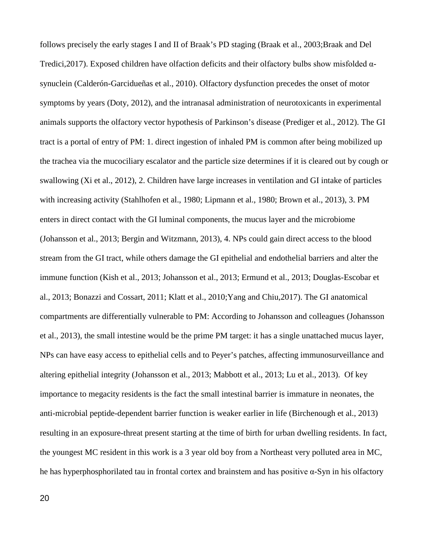follows precisely the early stages I and II of Braak's PD staging (Braak et al., 2003;Braak and Del Tredici,2017). Exposed children have olfaction deficits and their olfactory bulbs show misfolded αsynuclein (Calderón-Garcidueñas et al., 2010). Olfactory dysfunction precedes the onset of motor symptoms by years (Doty, 2012), and the intranasal administration of neurotoxicants in experimental animals supports the olfactory vector hypothesis of Parkinson's disease (Prediger et al., 2012). The GI tract is a portal of entry of PM: 1. direct ingestion of inhaled PM is common after being mobilized up the trachea via the mucociliary escalator and the particle size determines if it is cleared out by cough or swallowing (Xi et al., 2012), 2. Children have large increases in ventilation and GI intake of particles with increasing activity (Stahlhofen et al., 1980; Lipmann et al., 1980; Brown et al., 2013), 3. PM enters in direct contact with the GI luminal components, the mucus layer and the microbiome (Johansson et al., 2013; Bergin and Witzmann, 2013), 4. NPs could gain direct access to the blood stream from the GI tract, while others damage the GI epithelial and endothelial barriers and alter the immune function (Kish et al., 2013; Johansson et al., 2013; Ermund et al., 2013; Douglas-Escobar et al., 2013; Bonazzi and Cossart, 2011; Klatt et al., 2010;Yang and Chiu,2017). The GI anatomical compartments are differentially vulnerable to PM: According to Johansson and colleagues (Johansson et al., 2013), the small intestine would be the prime PM target: it has a single unattached mucus layer, NPs can have easy access to epithelial cells and to Peyer's patches, affecting immunosurveillance and altering epithelial integrity (Johansson et al., 2013; Mabbott et al., 2013; Lu et al., 2013). Of key importance to megacity residents is the fact the small intestinal barrier is immature in neonates, the anti-microbial peptide-dependent barrier function is weaker earlier in life (Birchenough et al., 2013) resulting in an exposure-threat present starting at the time of birth for urban dwelling residents. In fact, the youngest MC resident in this work is a 3 year old boy from a Northeast very polluted area in MC, he has hyperphosphorilated tau in frontal cortex and brainstem and has positive α-Syn in his olfactory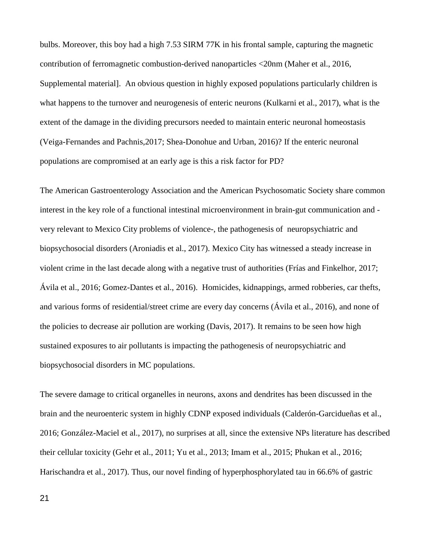bulbs. Moreover, this boy had a high 7.53 SIRM 77K in his frontal sample, capturing the magnetic contribution of ferromagnetic combustion-derived nanoparticles <20nm (Maher et al., 2016, Supplemental material]. An obvious question in highly exposed populations particularly children is what happens to the turnover and neurogenesis of enteric neurons (Kulkarni et al., 2017), what is the extent of the damage in the dividing precursors needed to maintain enteric neuronal homeostasis (Veiga-Fernandes and Pachnis,2017; Shea-Donohue and Urban, 2016)? If the enteric neuronal populations are compromised at an early age is this a risk factor for PD?

The American Gastroenterology Association and the American Psychosomatic Society share common interest in the key role of a functional intestinal microenvironment in brain-gut communication and very relevant to Mexico City problems of violence-, the pathogenesis of neuropsychiatric and biopsychosocial disorders (Aroniadis et al., 2017). Mexico City has witnessed a steady increase in violent crime in the last decade along with a negative trust of authorities (Frías and Finkelhor, 2017; Ávila et al., 2016; Gomez-Dantes et al., 2016). Homicides, kidnappings, armed robberies, car thefts, and various forms of residential/street crime are every day concerns (Ávila et al., 2016), and none of the policies to decrease air pollution are working (Davis, 2017). It remains to be seen how high sustained exposures to air pollutants is impacting the pathogenesis of neuropsychiatric and biopsychosocial disorders in MC populations.

The severe damage to critical organelles in neurons, axons and dendrites has been discussed in the brain and the neuroenteric system in highly CDNP exposed individuals (Calderón-Garcidueñas et al., 2016; González-Maciel et al., 2017), no surprises at all, since the extensive NPs literature has described their cellular toxicity (Gehr et al., 2011; Yu et al., 2013; Imam et al., 2015; Phukan et al., 2016; Harischandra et al., 2017). Thus, our novel finding of hyperphosphorylated tau in 66.6% of gastric

21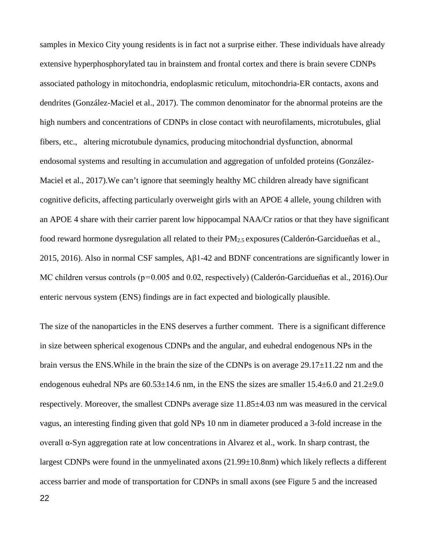samples in Mexico City young residents is in fact not a surprise either. These individuals have already extensive hyperphosphorylated tau in brainstem and frontal cortex and there is brain severe CDNPs associated pathology in mitochondria, endoplasmic reticulum, mitochondria-ER contacts, axons and dendrites (González-Maciel et al., 2017). The common denominator for the abnormal proteins are the high numbers and concentrations of CDNPs in close contact with neurofilaments, microtubules, glial fibers, etc., altering microtubule dynamics, producing mitochondrial dysfunction, abnormal endosomal systems and resulting in accumulation and aggregation of unfolded proteins (González-Maciel et al., 2017).We can't ignore that seemingly healthy MC children already have significant cognitive deficits, affecting particularly overweight girls with an APOE 4 allele, young children with an APOE 4 share with their carrier parent low hippocampal NAA/Cr ratios or that they have significant food reward hormone dysregulation all related to their  $PM_{2.5}$  exposures (Calderón-Garcidueñas et al., 2015, 2016). Also in normal CSF samples, Aβ1-42 and BDNF concentrations are significantly lower in MC children versus controls (p=0.005 and 0.02, respectively) (Calderón-Garcidueñas et al., 2016).Our enteric nervous system (ENS) findings are in fact expected and biologically plausible.

The size of the nanoparticles in the ENS deserves a further comment. There is a significant difference in size between spherical exogenous CDNPs and the angular, and euhedral endogenous NPs in the brain versus the ENS. While in the brain the size of the CDNPs is on average  $29.17\pm11.22$  nm and the endogenous euhedral NPs are  $60.53\pm14.6$  nm, in the ENS the sizes are smaller  $15.4\pm6.0$  and  $21.2\pm9.0$ respectively. Moreover, the smallest CDNPs average size 11.85±4.03 nm was measured in the cervical vagus, an interesting finding given that gold NPs 10 nm in diameter produced a 3-fold increase in the overall α-Syn aggregation rate at low concentrations in Alvarez et al., work. In sharp contrast, the largest CDNPs were found in the unmyelinated axons (21.99±10.8nm) which likely reflects a different access barrier and mode of transportation for CDNPs in small axons (see Figure 5 and the increased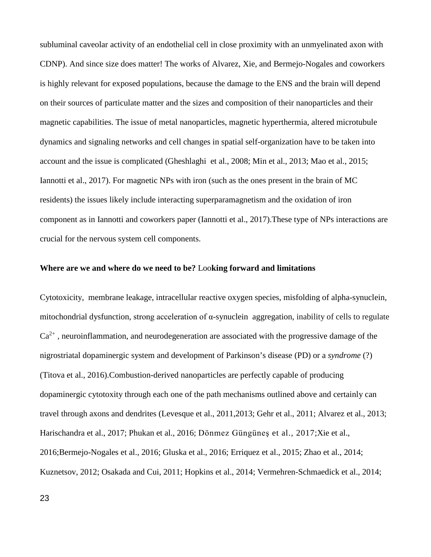subluminal caveolar activity of an endothelial cell in close proximity with an unmyelinated axon with CDNP). And since size does matter! The works of Alvarez, Xie, and Bermejo-Nogales and coworkers is highly relevant for exposed populations, because the damage to the ENS and the brain will depend on their sources of particulate matter and the sizes and composition of their nanoparticles and their magnetic capabilities. The issue of metal nanoparticles, magnetic hyperthermia, altered microtubule dynamics and signaling networks and cell changes in spatial self-organization have to be taken into account and the issue is complicated (Gheshlaghi et al., 2008; Min et al., 2013; Mao et al., 2015; Iannotti et al., 2017). For magnetic NPs with iron (such as the ones present in the brain of MC residents) the issues likely include interacting superparamagnetism and the oxidation of iron component as in Iannotti and coworkers paper (Iannotti et al., 2017).These type of NPs interactions are crucial for the nervous system cell components.

#### **[Where are we and where do we need to be?](https://www.ncbi.nlm.nih.gov/pubmed/28500751)** Loo**king forward and limitations**

Cytotoxicity, membrane leakage, intracellular reactive oxygen species, misfolding of alpha-synuclein, mitochondrial dysfunction, strong acceleration of α-synuclein aggregation, inability of cells to regulate  $Ca<sup>2+</sup>$ , neuroinflammation, and neurodegeneration are associated with the progressive damage of the nigrostriatal dopaminergic system and development of Parkinson's disease (PD) or a *syndrome* (?) (Titova et al., 2016).Combustion-derived nanoparticles are perfectly capable of producing dopaminergic cytotoxity through each one of the path mechanisms outlined above and certainly can travel through axons and dendrites (Levesque et al., 2011,2013; Gehr et al., 2011; Alvarez et al., 2013; Harischandra et al., 2017; Phukan et al., 2016; Dönmez Güngüneş et al., 2017;Xie et al., 2016;Bermejo-Nogales et al., 2016; Gluska et al., 2016; Erriquez et al., 2015; Zhao et al., 2014; Kuznetsov, 2012; Osakada and Cui, 2011; Hopkins et al., 2014; Vermehren-Schmaedick et al., 2014;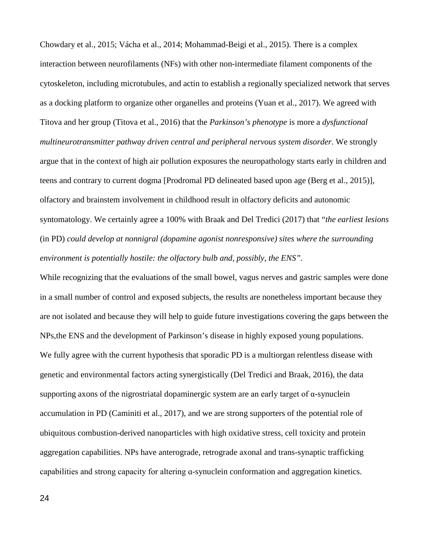Chowdary et al., 2015; Vácha et al., 2014; Mohammad-Beigi et al., 2015). There is a complex interaction between neurofilaments (NFs) with other non-intermediate filament components of the cytoskeleton, including microtubules, and actin to establish a regionally specialized network that serves as a docking platform to organize other organelles and proteins (Yuan et al., 2017). We agreed with Titova and her group (Titova et al., 2016) that the *Parkinson's phenotype* is more a *dysfunctional multineurotransmitter pathway driven central and peripheral nervous system disorder*. We strongly argue that in the context of high air pollution exposures the neuropathology starts early in children and teens and contrary to current dogma [Prodromal PD delineated based upon age (Berg et al., 2015)], olfactory and brainstem involvement in childhood result in olfactory deficits and autonomic syntomatology. We certainly agree a 100% with Braak and Del Tredici (2017) that "*the earliest lesions* (in PD) *could develop at nonnigral (dopamine agonist nonresponsive) sites where the surrounding environment is potentially hostile: the olfactory bulb and, possibly, the ENS".* 

While recognizing that the evaluations of the small bowel, vagus nerves and gastric samples were done in a small number of control and exposed subjects, the results are nonetheless important because they are not isolated and because they will help to guide future investigations covering the gaps between the NPs,the ENS and the development of Parkinson's disease in highly exposed young populations. We fully agree with the current hypothesis that sporadic PD is a multiorgan relentless disease with genetic and environmental factors acting synergistically (Del Tredici and Braak, 2016), the data supporting axons of the nigrostriatal dopaminergic system are an early target of α-synuclein accumulation in PD (Caminiti et al., 2017), and we are strong supporters of the potential role of ubiquitous combustion-derived nanoparticles with high oxidative stress, cell toxicity and protein aggregation capabilities. NPs have anterograde, retrograde axonal and trans-synaptic trafficking capabilities and strong capacity for altering ɑ-synuclein conformation and aggregation kinetics.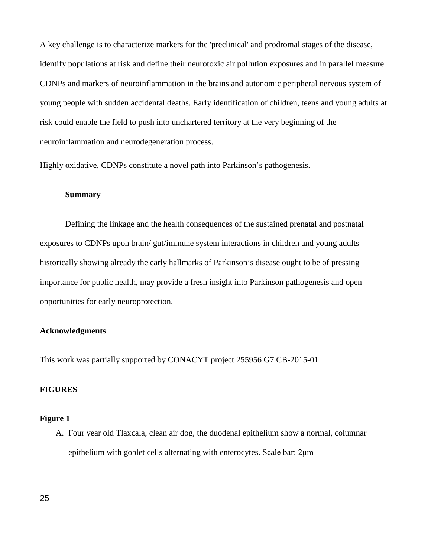A key challenge is to characterize markers for the 'preclinical' and prodromal stages of the disease, identify populations at risk and define their neurotoxic air pollution exposures and in parallel measure CDNPs and markers of neuroinflammation in the brains and autonomic peripheral nervous system of young people with sudden accidental deaths. Early identification of children, teens and young adults at risk could enable the field to push into unchartered territory at the very beginning of the neuroinflammation and neurodegeneration process.

Highly oxidative, CDNPs constitute a novel path into Parkinson's pathogenesis.

## **Summary**

Defining the linkage and the health consequences of the sustained prenatal and postnatal exposures to CDNPs upon brain/ gut/immune system interactions in children and young adults historically showing already the early hallmarks of Parkinson's disease ought to be of pressing importance for public health, may provide a fresh insight into Parkinson pathogenesis and open opportunities for early neuroprotection.

## **Acknowledgments**

This work was partially supported by CONACYT project 255956 G7 CB-2015-01

## **FIGURES**

## **Figure 1**

A. Four year old Tlaxcala, clean air dog, the duodenal epithelium show a normal, columnar epithelium with goblet cells alternating with enterocytes. Scale bar: 2μm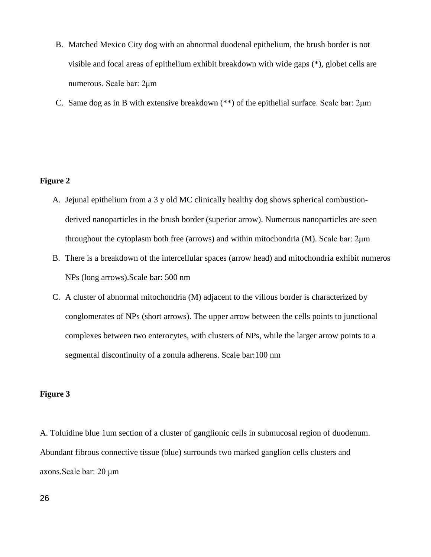- B. Matched Mexico City dog with an abnormal duodenal epithelium, the brush border is not visible and focal areas of epithelium exhibit breakdown with wide gaps (\*), globet cells are numerous. Scale bar: 2μm
- C. Same dog as in B with extensive breakdown (\*\*) of the epithelial surface. Scale bar: 2μm

## **Figure 2**

- A. Jejunal epithelium from a 3 y old MC clinically healthy dog shows spherical combustionderived nanoparticles in the brush border (superior arrow). Numerous nanoparticles are seen throughout the cytoplasm both free (arrows) and within mitochondria (M). Scale bar: 2μm
- B. There is a breakdown of the intercellular spaces (arrow head) and mitochondria exhibit numeros NPs (long arrows).Scale bar: 500 nm
- C. A cluster of abnormal mitochondria (M) adjacent to the villous border is characterized by conglomerates of NPs (short arrows). The upper arrow between the cells points to junctional complexes between two enterocytes, with clusters of NPs, while the larger arrow points to a segmental discontinuity of a zonula adherens. Scale bar:100 nm

## **Figure 3**

A. Toluidine blue 1um section of a cluster of ganglionic cells in submucosal region of duodenum. Abundant fibrous connective tissue (blue) surrounds two marked ganglion cells clusters and axons.Scale bar: 20 μm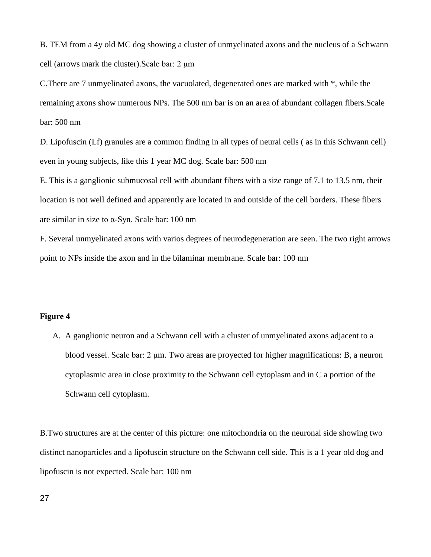B. TEM from a 4y old MC dog showing a cluster of unmyelinated axons and the nucleus of a Schwann cell (arrows mark the cluster).Scale bar: 2 μm

C.There are 7 unmyelinated axons, the vacuolated, degenerated ones are marked with \*, while the remaining axons show numerous NPs. The 500 nm bar is on an area of abundant collagen fibers.Scale bar: 500 nm

D. Lipofuscin (Lf) granules are a common finding in all types of neural cells ( as in this Schwann cell) even in young subjects, like this 1 year MC dog. Scale bar: 500 nm

E. This is a ganglionic submucosal cell with abundant fibers with a size range of 7.1 to 13.5 nm, their location is not well defined and apparently are located in and outside of the cell borders. These fibers are similar in size to α-Syn. Scale bar: 100 nm

F. Several unmyelinated axons with varios degrees of neurodegeneration are seen. The two right arrows point to NPs inside the axon and in the bilaminar membrane. Scale bar: 100 nm

## **Figure 4**

A. A ganglionic neuron and a Schwann cell with a cluster of unmyelinated axons adjacent to a blood vessel. Scale bar: 2 μm. Two areas are proyected for higher magnifications: B, a neuron cytoplasmic area in close proximity to the Schwann cell cytoplasm and in C a portion of the Schwann cell cytoplasm.

B.Two structures are at the center of this picture: one mitochondria on the neuronal side showing two distinct nanoparticles and a lipofuscin structure on the Schwann cell side. This is a 1 year old dog and lipofuscin is not expected. Scale bar: 100 nm

27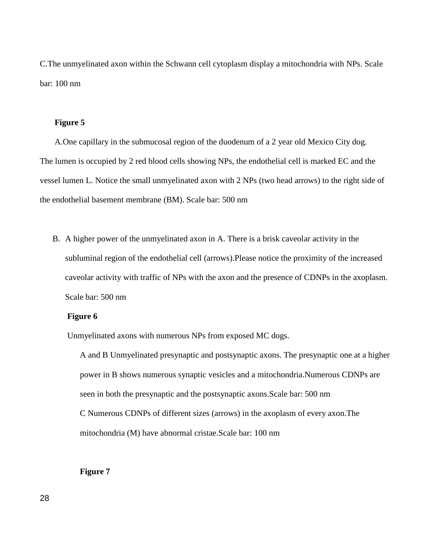C.The unmyelinated axon within the Schwann cell cytoplasm display a mitochondria with NPs. Scale bar: 100 nm

## **Figure 5**

A.One capillary in the submucosal region of the duodenum of a 2 year old Mexico City dog. The lumen is occupied by 2 red blood cells showing NPs, the endothelial cell is marked EC and the vessel lumen L. Notice the small unmyelinated axon with 2 NPs (two head arrows) to the right side of the endothelial basement membrane (BM). Scale bar: 500 nm

B. A higher power of the unmyelinated axon in A. There is a brisk caveolar activity in the subluminal region of the endothelial cell (arrows).Please notice the proximity of the increased caveolar activity with traffic of NPs with the axon and the presence of CDNPs in the axoplasm. Scale bar: 500 nm

## **Figure 6**

Unmyelinated axons with numerous NPs from exposed MC dogs.

A and B Unmyelinated presynaptic and postsynaptic axons. The presynaptic one at a higher power in B shows numerous synaptic vesicles and a mitochondria.Numerous CDNPs are seen in both the presynaptic and the postsynaptic axons.Scale bar: 500 nm C Numerous CDNPs of different sizes (arrows) in the axoplasm of every axon.The mitochondria (M) have abnormal cristae.Scale bar: 100 nm

## **Figure 7**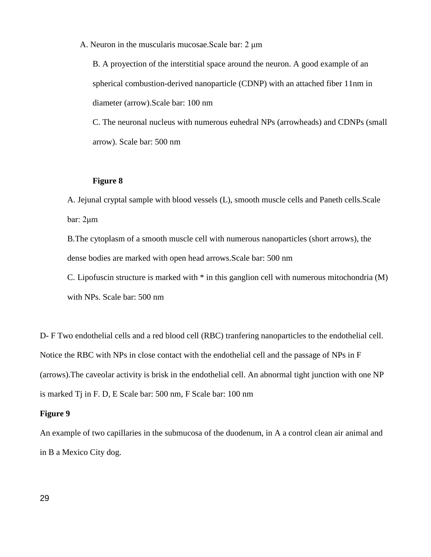A. Neuron in the muscularis mucosae.Scale bar: 2 μm

B. A proyection of the interstitial space around the neuron. A good example of an spherical combustion-derived nanoparticle (CDNP) with an attached fiber 11nm in diameter (arrow).Scale bar: 100 nm

C. The neuronal nucleus with numerous euhedral NPs (arrowheads) and CDNPs (small arrow). Scale bar: 500 nm

## **Figure 8**

A. Jejunal cryptal sample with blood vessels (L), smooth muscle cells and Paneth cells.Scale bar: 2μm

B.The cytoplasm of a smooth muscle cell with numerous nanoparticles (short arrows), the dense bodies are marked with open head arrows.Scale bar: 500 nm

C. Lipofuscin structure is marked with \* in this ganglion cell with numerous mitochondria (M) with NPs. Scale bar: 500 nm

D- F Two endothelial cells and a red blood cell (RBC) tranfering nanoparticles to the endothelial cell. Notice the RBC with NPs in close contact with the endothelial cell and the passage of NPs in F (arrows).The caveolar activity is brisk in the endothelial cell. An abnormal tight junction with one NP is marked Tj in F. D, E Scale bar: 500 nm, F Scale bar: 100 nm

## **Figure 9**

An example of two capillaries in the submucosa of the duodenum, in A a control clean air animal and in B a Mexico City dog.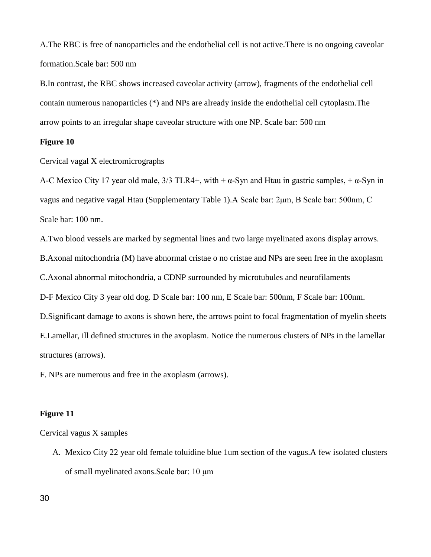A.The RBC is free of nanoparticles and the endothelial cell is not active.There is no ongoing caveolar formation.Scale bar: 500 nm

B.In contrast, the RBC shows increased caveolar activity (arrow), fragments of the endothelial cell contain numerous nanoparticles (\*) and NPs are already inside the endothelial cell cytoplasm.The arrow points to an irregular shape caveolar structure with one NP. Scale bar: 500 nm

## **Figure 10**

Cervical vagal X electromicrographs

A-C Mexico City 17 year old male,  $3/3$  TLR4+, with +  $\alpha$ -Syn and Htau in gastric samples, +  $\alpha$ -Syn in vagus and negative vagal Htau (Supplementary Table 1).A Scale bar: 2μm, B Scale bar: 500nm, C Scale bar: 100 nm.

A.Two blood vessels are marked by segmental lines and two large myelinated axons display arrows. B.Axonal mitochondria (M) have abnormal cristae o no cristae and NPs are seen free in the axoplasm C.Axonal abnormal mitochondria, a CDNP surrounded by microtubules and neurofilaments D-F Mexico City 3 year old dog. D Scale bar: 100 nm, E Scale bar: 500nm, F Scale bar: 100nm. D.Significant damage to axons is shown here, the arrows point to focal fragmentation of myelin sheets E.Lamellar, ill defined structures in the axoplasm. Notice the numerous clusters of NPs in the lamellar structures (arrows).

F. NPs are numerous and free in the axoplasm (arrows).

## **Figure 11**

Cervical vagus X samples

A. Mexico City 22 year old female toluidine blue 1um section of the vagus.A few isolated clusters of small myelinated axons.Scale bar: 10 μm

30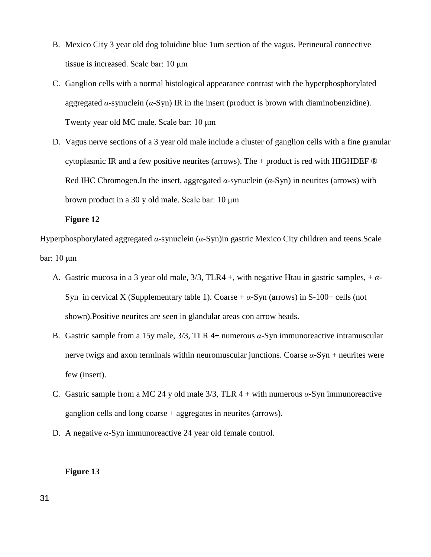- B. Mexico City 3 year old dog toluidine blue 1um section of the vagus. Perineural connective tissue is increased. Scale bar: 10 μm
- C. Ganglion cells with a normal histological appearance contrast with the hyperphosphorylated aggregated  $\alpha$ -synuclein ( $\alpha$ -Syn) IR in the insert (product is brown with diaminobenzidine). Twenty year old MC male. Scale bar: 10 μm
- D. Vagus nerve sections of a 3 year old male include a cluster of ganglion cells with a fine granular cytoplasmic IR and a few positive neurites (arrows). The  $+$  product is red with HIGHDEF  $\circledR$ Red IHC Chromogen.In the insert, aggregated *α*-synuclein (*α*-Syn) in neurites (arrows) with brown product in a 30 y old male. Scale bar: 10 μm

## **Figure 12**

Hyperphosphorylated aggregated *α*-synuclein (*α*-Syn)in gastric Mexico City children and teens.Scale bar: 10 μm

- A. Gastric mucosa in a 3 year old male, 3/3, TLR4 +, with negative Htau in gastric samples, + *α*-Syn in cervical X (Supplementary table 1). Coarse  $+\alpha$ -Syn (arrows) in S-100+ cells (not shown).Positive neurites are seen in glandular areas con arrow heads.
- B. Gastric sample from a 15y male, 3/3, TLR 4+ numerous *α*-Syn immunoreactive intramuscular nerve twigs and axon terminals within neuromuscular junctions. Coarse  $\alpha$ -Syn + neurites were few (insert).
- C. Gastric sample from a MC 24 y old male 3/3, TLR 4 + with numerous *α*-Syn immunoreactive ganglion cells and long coarse + aggregates in neurites (arrows).
- D. A negative *α*-Syn immunoreactive 24 year old female control.

## **Figure 13**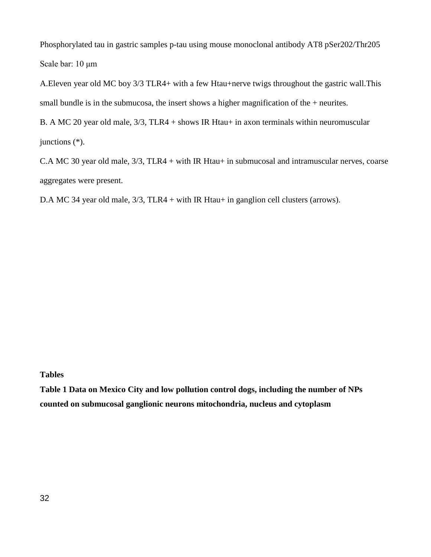Phosphorylated tau in gastric samples p-tau using mouse monoclonal antibody AT8 pSer202/Thr205 Scale bar: 10 μm

A.Eleven year old MC boy 3/3 TLR4+ with a few Htau+nerve twigs throughout the gastric wall.This small bundle is in the submucosa, the insert shows a higher magnification of the + neurites.

B. A MC 20 year old male, 3/3, TLR4 + shows IR Htau+ in axon terminals within neuromuscular junctions (\*).

C.A MC 30 year old male, 3/3, TLR4 + with IR Htau+ in submucosal and intramuscular nerves, coarse aggregates were present.

D.A MC 34 year old male,  $3/3$ , TLR4 + with IR Htau+ in ganglion cell clusters (arrows).

**Tables** 

**Table 1 Data on Mexico City and low pollution control dogs, including the number of NPs counted on submucosal ganglionic neurons mitochondria, nucleus and cytoplasm**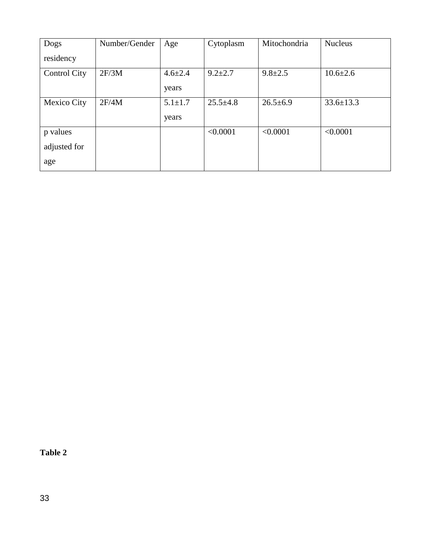| Dogs                | Number/Gender | Age           | Cytoplasm      | Mitochondria   | <b>Nucleus</b>  |
|---------------------|---------------|---------------|----------------|----------------|-----------------|
| residency           |               |               |                |                |                 |
| <b>Control City</b> | 2F/3M         | $4.6 \pm 2.4$ | $9.2 + 2.7$    | $9.8 \pm 2.5$  | $10.6 \pm 2.6$  |
|                     |               | years         |                |                |                 |
| Mexico City         | 2F/4M         | $5.1 \pm 1.7$ | $25.5 \pm 4.8$ | $26.5 \pm 6.9$ | $33.6 \pm 13.3$ |
|                     |               | years         |                |                |                 |
| p values            |               |               | < 0.0001       | < 0.0001       | < 0.0001        |
| adjusted for        |               |               |                |                |                 |
| age                 |               |               |                |                |                 |

**Table 2**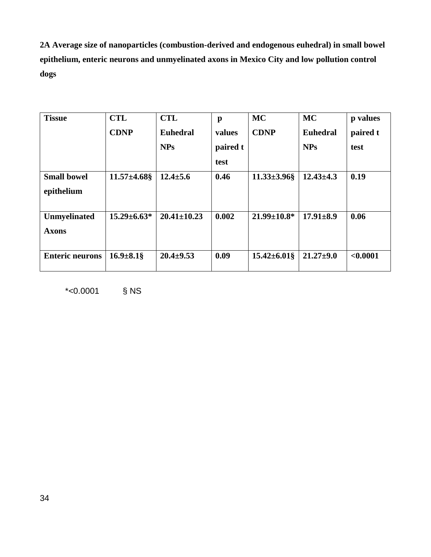**2A Average size of nanoparticles (combustion-derived and endogenous euhedral) in small bowel epithelium, enteric neurons and unmyelinated axons in Mexico City and low pollution control dogs**

| <b>Tissue</b>                       | <b>CTL</b>         | <b>CTL</b>        | $\mathbf{p}$ | <b>MC</b>          | <b>MC</b>       | p values |
|-------------------------------------|--------------------|-------------------|--------------|--------------------|-----------------|----------|
|                                     | <b>CDNP</b>        | <b>Euhedral</b>   | values       | <b>CDNP</b>        | <b>Euhedral</b> | paired t |
|                                     |                    | <b>NPs</b>        | paired t     |                    | <b>NPs</b>      | test     |
|                                     |                    |                   | test         |                    |                 |          |
| <b>Small bowel</b><br>epithelium    | $11.57 \pm 4.68$ § | $12.4 \pm 5.6$    | 0.46         | $11.33 \pm 3.96$ § | $12.43 \pm 4.3$ | 0.19     |
| <b>Unmyelinated</b><br><b>Axons</b> | $15.29 \pm 6.63*$  | $20.41 \pm 10.23$ | 0.002        | $21.99 \pm 10.8^*$ | $17.91 \pm 8.9$ | 0.06     |
| <b>Enteric neurons</b>              | $16.9 \pm 8.1$ §   | $20.4 \pm 9.53$   | 0.09         | $15.42 \pm 6.01\$  | $21.27 \pm 9.0$ | < 0.0001 |

\*<0.0001 § NS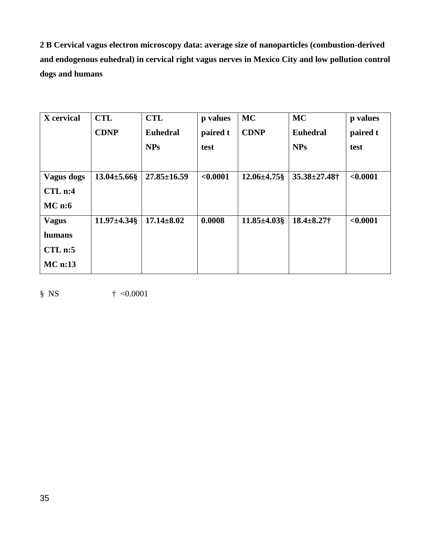**2 B Cervical vagus electron microscopy data: average size of nanoparticles (combustion-derived and endogenous euhedral) in cervical right vagus nerves in Mexico City and low pollution control dogs and humans**

| X cervical         | <b>CTL</b>         | <b>CTL</b>        | p values | <b>MC</b>         | <b>MC</b>           | p values |
|--------------------|--------------------|-------------------|----------|-------------------|---------------------|----------|
|                    | <b>CDNP</b>        | <b>Euhedral</b>   | paired t | <b>CDNP</b>       | <b>Euhedral</b>     | paired t |
|                    |                    | <b>NPs</b>        | test     |                   | <b>NPs</b>          | test     |
|                    |                    |                   |          |                   |                     |          |
| <b>Vagus dogs</b>  | $13.04 \pm 5.66$ § | $27.85 \pm 16.59$ | < 0.0001 | $12.06 \pm 4.75\$ | $35.38 \pm 27.48$ † | < 0.0001 |
| CL <sub>n</sub> :4 |                    |                   |          |                   |                     |          |
| MC <sub>n:6</sub>  |                    |                   |          |                   |                     |          |
| <b>Vagus</b>       | $11.97 \pm 4.34$   | $17.14 \pm 8.02$  | 0.0008   | $11.85 \pm 4.03$  | $18.4 \pm 8.27$ †   | < 0.0001 |
| humans             |                    |                   |          |                   |                     |          |
| CLn:5              |                    |                   |          |                   |                     |          |
| $MC$ n:13          |                    |                   |          |                   |                     |          |
|                    |                    |                   |          |                   |                     |          |

 $§$  NS  $\qquad \qquad \dagger \leq 0.0001$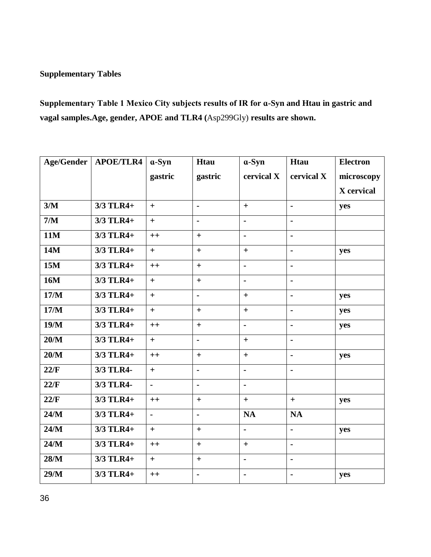## **Supplementary Tables**

**Supplementary Table 1 Mexico City subjects results of IR for ɑ-Syn and Htau in gastric and vagal samples.Age, gender, APOE and TLR4 (**Asp299Gly) **results are shown.** 

| Age/Gender | <b>APOE/TLR4</b> | $a-Syn$        | Htau              | $a-Syn$        | Htau                 | <b>Electron</b> |
|------------|------------------|----------------|-------------------|----------------|----------------------|-----------------|
|            |                  | gastric        | gastric           | cervical X     | cervical X           | microscopy      |
|            |                  |                |                   |                |                      | X cervical      |
| 3/M        | 3/3 TLR4+        | $+$            | $\blacksquare$    | $+$            | $\blacksquare$       | yes             |
| $7/M$      | 3/3 TLR4+        | $+$            | ä,                | $\blacksquare$ | $\blacksquare$       |                 |
| 11M        | 3/3 TLR4+        | $++$           | $\boldsymbol{+}$  | ä,             | $\ddot{\phantom{1}}$ |                 |
| <b>14M</b> | 3/3 TLR4+        | $+$            | $\qquad \qquad +$ | $+$            | $\blacksquare$       | yes             |
| <b>15M</b> | 3/3 TLR4+        | $++$           | $+$               | $\blacksquare$ | $\blacksquare$       |                 |
| <b>16M</b> | 3/3 TLR4+        | $+$            | $+$               | ä,             | $\blacksquare$       |                 |
| 17/M       | 3/3 TLR4+        | $+$            | $\blacksquare$    | $+$            | $\blacksquare$       | yes             |
| 17/M       | 3/3 TLR4+        | $+$            | $+$               | $+$            | $\blacksquare$       | yes             |
| 19/M       | 3/3 TLR4+        | $++$           | $+$               | $\blacksquare$ | $\blacksquare$       | yes             |
| 20/M       | $3/3$ TLR4+      | $+$            | ä,                | $+$            | $\blacksquare$       |                 |
| 20/M       | 3/3 TLR4+        | $++$           | $+$               | $\ddot{}$      | $\blacksquare$       | yes             |
| 22/F       | 3/3 TLR4-        | $+$            | $\blacksquare$    | $\blacksquare$ | $\blacksquare$       |                 |
| 22/F       | 3/3 TLR4-        | $\blacksquare$ | $\blacksquare$    | $\blacksquare$ |                      |                 |
| 22/F       | 3/3 TLR4+        | $++$           | $+$               | $+$            | $+$                  | yes             |
| 24/M       | 3/3 TLR4+        | $\blacksquare$ | $\blacksquare$    | <b>NA</b>      | <b>NA</b>            |                 |
| 24/M       | 3/3 TLR4+        | $+$            | $+$               | ä,             | $\overline{a}$       | yes             |
| 24/M       | 3/3 TLR4+        | $++$           | $+$               | $+$            | $\blacksquare$       |                 |
| 28/M       | 3/3 TLR4+        | $+$            | $+$               | ä,             | $\blacksquare$       |                 |
| 29/M       | 3/3 TLR4+        | $++$           | $\blacksquare$    | $\blacksquare$ | $\blacksquare$       | yes             |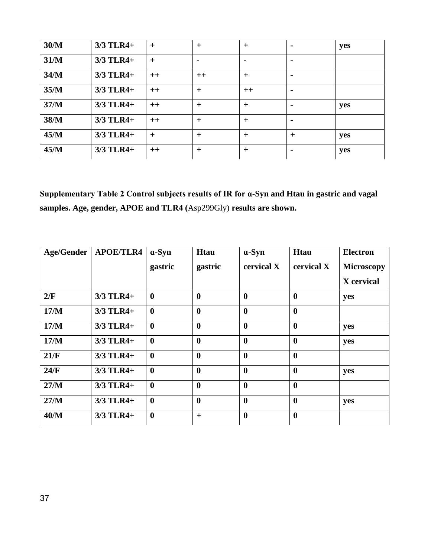| 30/M | $3/3$ TLR4+ | $+$  | $+$            | $+$            | $\blacksquare$ | yes |
|------|-------------|------|----------------|----------------|----------------|-----|
| 31/M | 3/3 TLR4+   | $+$  | $\blacksquare$ | $\blacksquare$ |                |     |
| 34/M | $3/3$ TLR4+ | $++$ | $++$           | $+$            |                |     |
| 35/M | 3/3 TLR4+   | $++$ | $+$            | $++$           |                |     |
| 37/M | $3/3$ TLR4+ | $++$ | $+$            | $+$            |                | yes |
| 38/M | $3/3$ TLR4+ | $++$ | $+$            | $+$            | $\blacksquare$ |     |
| 45/M | 3/3 TLR4+   | $+$  | $+$            | $+$            | $+$            | yes |
| 45/M | $3/3$ TLR4+ | $++$ | $+$            | $+$            | $\blacksquare$ | yes |

**Supplementary Table 2 Control subjects results of IR for ɑ-Syn and Htau in gastric and vagal samples. Age, gender, APOE and TLR4 (**Asp299Gly) **results are shown.** 

| <b>Age/Gender</b> | <b>APOE/TLR4</b> | $a-Syn$          | <b>Htau</b>      | $a-Syn$          | <b>Htau</b>      | <b>Electron</b>   |
|-------------------|------------------|------------------|------------------|------------------|------------------|-------------------|
|                   |                  | gastric          | gastric          | cervical X       | cervical X       | <b>Microscopy</b> |
|                   |                  |                  |                  |                  |                  | X cervical        |
| 2/F               | 3/3 TLR4+        | $\bf{0}$         | $\bf{0}$         | $\boldsymbol{0}$ | $\boldsymbol{0}$ | yes               |
| 17/M              | 3/3 TLR4+        | $\boldsymbol{0}$ | $\bf{0}$         | $\boldsymbol{0}$ | $\boldsymbol{0}$ |                   |
| 17/M              | $3/3$ TLR4+      | $\boldsymbol{0}$ | $\boldsymbol{0}$ | $\boldsymbol{0}$ | $\mathbf{0}$     | yes               |
| 17/M              | 3/3 TLR4+        | $\bf{0}$         | $\bf{0}$         | $\boldsymbol{0}$ | $\boldsymbol{0}$ | yes               |
| 21/F              | 3/3 TLR4+        | $\bf{0}$         | $\boldsymbol{0}$ | $\boldsymbol{0}$ | $\boldsymbol{0}$ |                   |
| 24/F              | 3/3 TLR4+        | $\boldsymbol{0}$ | $\bf{0}$         | $\boldsymbol{0}$ | $\boldsymbol{0}$ | yes               |
| 27/M              | 3/3 TLR4+        | $\bf{0}$         | $\bf{0}$         | $\boldsymbol{0}$ | $\mathbf{0}$     |                   |
| 27/M              | 3/3 TLR4+        | $\boldsymbol{0}$ | $\boldsymbol{0}$ | $\boldsymbol{0}$ | $\boldsymbol{0}$ | yes               |
| 40/M              | $3/3$ TLR4+      | $\boldsymbol{0}$ | $+$              | $\boldsymbol{0}$ | $\boldsymbol{0}$ |                   |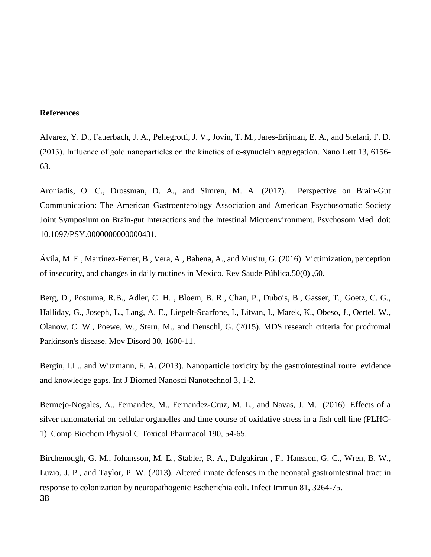#### **References**

Alvarez, Y. D., Fauerbach, J. A., Pellegrotti, J. V., Jovin, T. M., Jares-Erijman, E. A., and Stefani, F. D. (2013). Influence of gold nanoparticles on the kinetics of α-synuclein aggregation. Nano Lett 13, 6156- 63.

Aroniadis, O. C., Drossman, D. A., and Simren, M. A. (2017). Perspective on Brain-Gut Communication: The American Gastroenterology Association and American Psychosomatic Society Joint Symposium on Brain-gut Interactions and the Intestinal Microenvironment. Psychosom Med doi: 10.1097/PSY.0000000000000431.

Ávila, M. E., Martínez-Ferrer, B., Vera, A., Bahena, A., and Musitu, G. (2016). Victimization, perception of insecurity, and changes in daily routines in Mexico. Rev Saude Pública.50(0) ,60.

Berg, D., Postuma, R.B., Adler, C. H. , Bloem, B. R., Chan, P., Dubois, B., Gasser, T., Goetz, C. G., Halliday, G., Joseph, L., Lang, A. E., Liepelt-Scarfone, I., Litvan, I., Marek, K., Obeso, J., Oertel, W., Olanow, C. W., Poewe, W., Stern, M., and Deuschl, G. (2015). MDS research criteria for prodromal Parkinson's disease. Mov Disord 30, 1600-11.

Bergin, I.L., and Witzmann, F. A. (2013). Nanoparticle toxicity by the gastrointestinal route: evidence and knowledge gaps. Int J Biomed Nanosci Nanotechnol 3, 1-2.

Bermejo-Nogales, A., Fernandez, M., Fernandez-Cruz, M. L., and Navas, J. M. (2016). Effects of a silver nanomaterial on cellular organelles and time course of oxidative stress in a fish cell line (PLHC-1). Comp Biochem Physiol C Toxicol Pharmacol 190, 54-65.

Birchenough, G. M., Johansson, M. E., Stabler, R. A., Dalgakiran , F., Hansson, G. C., Wren, B. W., Luzio, J. P., and Taylor, P. W. (2013). Altered innate defenses in the neonatal gastrointestinal tract in response to colonization by neuropathogenic Escherichia coli. Infect Immun 81, 3264-75. 38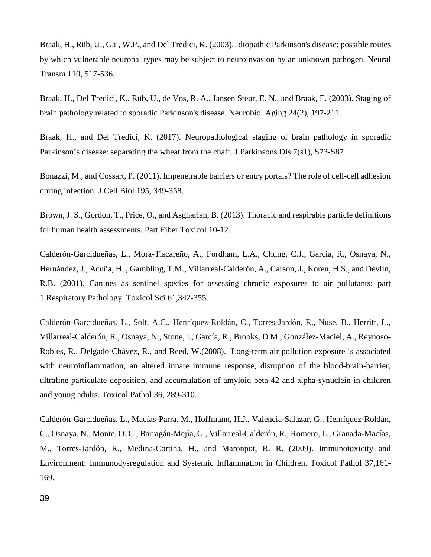Braak, H., Rüb, U., Gai, W.P., and Del Tredici, K. (2003). Idiopathic Parkinson's disease: possible routes by which vulnerable neuronal types may be subject to neuroinvasion by an unknown pathogen. Neural Transm 110, 517-536.

Braak, H., Del Tredici, K., Rüb, U., de Vos, R. A., Jansen Steur, E. N., and Braak, E. (2003). Staging of brain pathology related to sporadic Parkinson's disease. Neurobiol Aging 24(2), 197-211.

Braak, H., and Del Tredici, K. (2017). Neuropathological staging of brain pathology in sporadic Parkinson's disease: separating the wheat from the chaff. J Parkinsons Dis 7(s1), S73-S87

Bonazzi, M., and Cossart, P. (2011). Impenetrable barriers or entry portals? The role of cell-cell adhesion during infection. J Cell Biol 195, 349-358.

Brown, J. S., Gordon, T., Price, O., and Asgharian, B. (2013). Thoracic and respirable particle definitions for human health assessments. Part Fiber Toxicol 10-12.

Calderón-Garcidueñas, L., Mora-Tiscareño, A., Fordham, L.A., Chung, C.J., García, R., Osnaya, N., Hernández, J., Acuña, H. , Gambling, T.M., Villarreal-Calderón, A., Carson, J., Koren, H.S., and Devlin, R.B. (2001). Canines as sentinel species for assessing chronic exposures to air pollutants: part 1.Respiratory Pathology. Toxicol Sci 61,342-355.

[Calderón-Garcidueñas, L.](http://www.ncbi.nlm.nih.gov/pubmed?term=Calder%C3%B3n-Garcidue%C3%B1as%20L%5BAuthor%5D&cauthor=true&cauthor_uid=18349428), [Solt, A.C.](http://www.ncbi.nlm.nih.gov/pubmed?term=Solt%20AC%5BAuthor%5D&cauthor=true&cauthor_uid=18349428), [Henríquez-Roldán, C.](http://www.ncbi.nlm.nih.gov/pubmed?term=Henr%C3%ADquez-Rold%C3%A1n%20C%5BAuthor%5D&cauthor=true&cauthor_uid=18349428), [Torres-Jardón, R.](http://www.ncbi.nlm.nih.gov/pubmed?term=Torres-Jard%C3%B3n%20R%5BAuthor%5D&cauthor=true&cauthor_uid=18349428), [Nuse, B.](http://www.ncbi.nlm.nih.gov/pubmed?term=Nuse%20B%5BAuthor%5D&cauthor=true&cauthor_uid=18349428), Herritt, L., Villarreal-Calderón, R., Osnaya, N., Stone, I., García, R., Brooks, D.M., González-Maciel, A., Reynoso-Robles, R., Delgado-Chávez, R., and Reed, W.(2008). Long-term air pollution exposure is associated with neuroinflammation, an altered innate immune response, disruption of the blood-brain-barrier, ultrafine particulate deposition, and accumulation of amyloid beta-42 and alpha-synuclein in children and young adults. Toxicol Pathol 36, 289-310.

Calderón-Garcidueñas, L., Macías-Parra, M., Hoffmann, H.J., Valencia-Salazar, G., Henríquez-Roldán, C., Osnaya, N., Monte, O. C., Barragán-Mejía, G., Villarreal-Calderón, R., Romero, L., Granada-Macías, M., Torres-Jardón, R., Medina-Cortina, H., and Maronpot, R. R. (2009). Immunotoxicity and Environment: Immunodysregulation and Systemic Inflammation in Children. Toxicol Pathol 37,161- 169.

39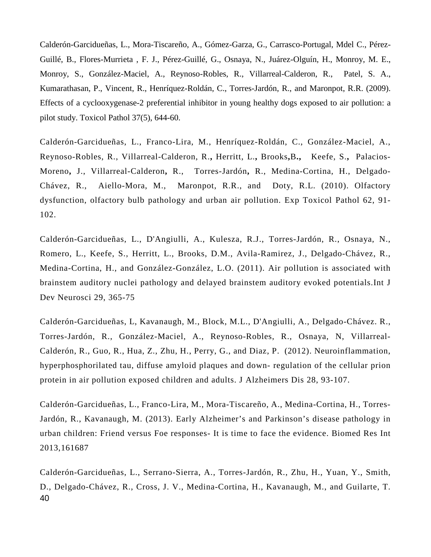Calderón-Garcidueñas, L., Mora-Tiscareño, A., Gómez-Garza, G., Carrasco-Portugal, Mdel C., Pérez-Guillé, B., Flores-Murrieta , F. J., Pérez-Guillé, G., Osnaya, N., Juárez-Olguín, H., Monroy, M. E., Monroy, S., González-Maciel, A., Reynoso-Robles, R., Villarreal-Calderon, R., Patel, S. A., Kumarathasan, P., Vincent, R., Henríquez-Roldán, C., Torres-Jardón, R., and Maronpot, R.R. (2009). Effects of a cyclooxygenase-2 preferential inhibitor in young healthy dogs exposed to air pollution: a pilot study. Toxicol Pathol 37(5), 644-60.

Calderón-Garcidueñas, L., Franco-Lira, M., Henríquez-Roldán, C., González-Maciel, A., Reynoso-Robles, R., [Villarreal-Calderon,](https://www.ncbi.nlm.nih.gov/pubmed/?term=Villarreal-Calderon%20R%5BAuthor%5D&cauthor=true&cauthor_uid=19297138) R.**,** [Herritt,](https://www.ncbi.nlm.nih.gov/pubmed/?term=Herritt%20L%5BAuthor%5D&cauthor=true&cauthor_uid=19297138) L.**,** [Brooks](https://www.ncbi.nlm.nih.gov/pubmed/?term=Brooks%20D%5BAuthor%5D&cauthor=true&cauthor_uid=19297138)**,**B**.,** [Keefe,](https://www.ncbi.nlm.nih.gov/pubmed/?term=Keefe%20S%5BAuthor%5D&cauthor=true&cauthor_uid=19297138) S.**,** [Palacios-](https://www.ncbi.nlm.nih.gov/pubmed/?term=Palacios-Moreno%20J%5BAuthor%5D&cauthor=true&cauthor_uid=19297138)[Moreno](https://www.ncbi.nlm.nih.gov/pubmed/?term=Palacios-Moreno%20J%5BAuthor%5D&cauthor=true&cauthor_uid=19297138)**,** J., [Villarreal-Calderon](https://www.ncbi.nlm.nih.gov/pubmed/?term=Villarreal-Calderon%20R%5BAuthor%5D&cauthor=true&cauthor_uid=19297138)**,** R., [Torres-Jardón](https://www.ncbi.nlm.nih.gov/pubmed/?term=Torres-Jard%26%23x000f3%3Bn%20R%5BAuthor%5D&cauthor=true&cauthor_uid=19297138)**,** R., [Medina-Cortina,](https://www.ncbi.nlm.nih.gov/pubmed/?term=Medina-Cortina%20H%5BAuthor%5D&cauthor=true&cauthor_uid=19297138) H., [Delgado-](https://www.ncbi.nlm.nih.gov/pubmed/?term=Delgado-Ch%26%23x000e1%3Bvez%20R%5BAuthor%5D&cauthor=true&cauthor_uid=19297138)[Chávez,](https://www.ncbi.nlm.nih.gov/pubmed/?term=Delgado-Ch%26%23x000e1%3Bvez%20R%5BAuthor%5D&cauthor=true&cauthor_uid=19297138) R., [Aiello-Mora,](https://www.ncbi.nlm.nih.gov/pubmed/?term=Aiello-Mora%20M%5BAuthor%5D&cauthor=true&cauthor_uid=19297138) M., [Maronpot,](https://www.ncbi.nlm.nih.gov/pubmed/?term=Maronpot%20RR%5BAuthor%5D&cauthor=true&cauthor_uid=19297138) R.R., and [Doty,](https://www.ncbi.nlm.nih.gov/pubmed/?term=Doty%20RL%5BAuthor%5D&cauthor=true&cauthor_uid=19297138) R.L. (2010). Olfactory dysfunction, olfactory bulb pathology and urban air pollution. Exp Toxicol Pathol 62, 91- 102.

Calderón-Garcidueñas, L., D'Angiulli, A., Kulesza, R.J., Torres-Jardón, R., Osnaya, N., Romero, L., Keefe, S., Herritt, L., Brooks, D.M., Avila-Ramirez, J., Delgado-Chávez, R., Medina-Cortina, H., and González-González, L.O. (2011). Air pollution is associated with brainstem auditory nuclei pathology and delayed brainstem auditory evoked potentials.Int J Dev Neurosci 29, 365-75

Calderón-Garcidueñas, L, Kavanaugh, M., Block, M.L., D'Angiulli, A., Delgado-Chávez. R., Torres-Jardón, R., González-Maciel, A., Reynoso-Robles, R., Osnaya, N, Villarreal-Calderón, R., Guo, R., Hua, Z., Zhu, H., Perry, G., and Diaz, P. (2012). Neuroinflammation, hyperphosphorilated tau, diffuse amyloid plaques and down- regulation of the cellular prion protein in air pollution exposed children and adults. J Alzheimers Dis 28, 93-107.

Calderón-Garcidueñas, L., Franco-Lira, M., Mora-Tiscareño, A., Medina-Cortina, H., Torres-Jardón, R., Kavanaugh, M. (2013). Early Alzheimer's and Parkinson's disease pathology in urban children: Friend versus Foe responses- It is time to face the evidence. Biomed Res Int 2013,161687

Calderón-Garcidueñas, L., Serrano-Sierra, A., Torres-Jardón, R., Zhu, H., Yuan, Y., Smith, D., Delgado-Chávez, R., Cross, J. V., Medina-Cortina, H., Kavanaugh, M., and Guilarte, T. 40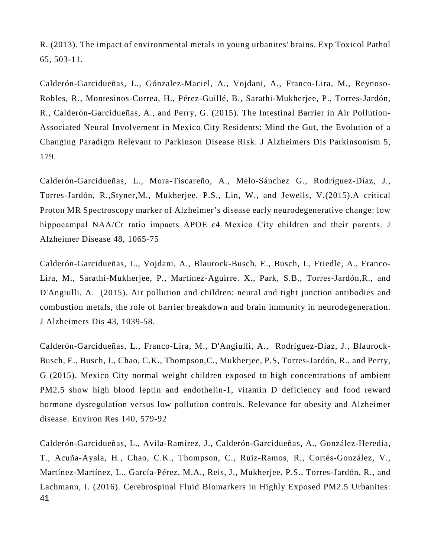R. (2013). The impact of environmental metals in young urbanites' brains. Exp Toxicol Pathol 65, 503-11.

Calderón-Garcidueñas, L., Gónzalez-Maciel, A., Vojdani, A., Franco-Lira, M., Reynoso-Robles, R., Montesinos-Correa, H., Pérez-Guillé, B., Sarathi-Mukherjee, P., Torres-Jardón, R., Calderón-Garcidueñas, A., and Perry, G. (2015). The Intestinal Barrier in Air Pollution-Associated Neural Involvement in Mexico City Residents: Mind the Gut, the Evolution of a Changing Paradigm Relevant to Parkinson Disease Risk. J Alzheimers Dis Parkinsonism 5, 179.

Calderón-Garcidueñas, L., Mora-Tiscareño, A., Melo-Sánchez G., Rodríguez-Díaz, J., Torres-Jardón, R.,Styner,M., Mukherjee, P.S., Lin, W., and Jewells, V.(2015).A critical Proton MR Spectroscopy marker of Alzheimer's disease early neurodegenerative change: low hippocampal NAA/Cr ratio impacts APOE ɛ4 Mexico City children and their parents. J Alzheimer Disease 48, 1065-75

Calderón-Garcidueñas, L., Vojdani, A., Blaurock-Busch, E., Busch, I., Friedle, A., Franco-Lira, M., Sarathi-Mukherjee, P., Martínez-Aguirre. X., Park, S.B., Torres-Jardón,R., and D'Angiulli, A. (2015). Air pollution and children: neural and tight junction antibodies and combustion metals, the role of barrier breakdown and brain immunity in neurodegeneration. J Alzheimers Dis 43, 1039-58.

Calderón-Garcidueñas, L., Franco-Lira, M., D'Angiulli, A., Rodríguez-Díaz, J., Blaurock-Busch, E., Busch, I., Chao, C.K., Thompson,C., Mukherjee, P.S, Torres-Jardón, R., and Perry, G (2015). Mexico City normal weight children exposed to high concentrations of ambient PM2.5 show high blood leptin and endothelin-1, vitamin D deficiency and food reward hormone dysregulation versus low pollution controls. Relevance for obesity and Alzheimer disease. Environ Res 140, 579-92

Calderón-Garcidueñas, L., Avila-Ramírez, J., Calderón-Garcidueñas, A., González-Heredia, T., Acuña-Ayala, H., Chao, C.K., Thompson, C., Ruiz-Ramos, R., Cortés-González, V., Martínez-Martínez, L., García-Pérez, M.A., Reis, J., Mukherjee, P.S., Torres-Jardón, R., and Lachmann, I. (2016). Cerebrospinal Fluid Biomarkers in Highly Exposed PM2.5 Urbanites: 41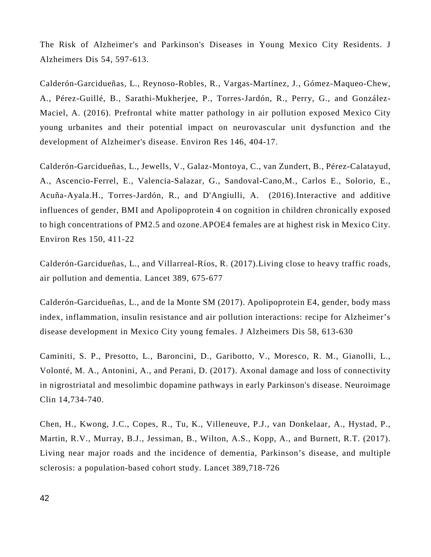The Risk of Alzheimer's and Parkinson's Diseases in Young Mexico City Residents. J Alzheimers Dis 54, 597-613.

Calderón-Garcidueñas, L., Reynoso-Robles, R., Vargas-Martínez, J., Gómez-Maqueo-Chew, A., Pérez-Guillé, B., Sarathi-Mukherjee, P., Torres-Jardón, R., Perry, G., and González-Maciel, A. (2016). Prefrontal white matter pathology in air pollution exposed Mexico City young urbanites and their potential impact on neurovascular unit dysfunction and the development of Alzheimer's disease. Environ Res 146, 404-17.

Calderón-Garcidueñas, L., Jewells, V., Galaz-Montoya, C., van Zundert, B., Pérez-Calatayud, A., Ascencio-Ferrel, E., Valencia-Salazar, G., Sandoval-Cano,M., Carlos E., Solorio, E., Acuña-Ayala.H., Torres-Jardón, R., and D'Angiulli, A. (2016).Interactive and additive influences of gender, BMI and Apolipoprotein 4 on cognition in children chronically exposed to high concentrations of PM2.5 and ozone.APOE4 females are at highest risk in Mexico City. Environ Res 150, 411-22

Calderón-Garcidueñas, L., and Villarreal-Ríos, R. (2017).Living close to heavy traffic roads, air pollution and dementia. Lancet 389, 675-677

Calderón-Garcidueñas, L., and de la Monte SM (2017). Apolipoprotein E4, gender, body mass index, inflammation, insulin resistance and air pollution interactions: recipe for Alzheimer's disease development in Mexico City young females. J Alzheimers Dis 58, 613-630

Caminiti, S. P., Presotto, L., Baroncini, D., Garibotto, V., Moresco, R. M., Gianolli, L., Volonté, M. A., Antonini, A., and Perani, D. (2017). Axonal damage and loss of connectivity in nigrostriatal and mesolimbic dopamine pathways in early Parkinson's disease. Neuroimage Clin 14,734-740.

Chen, H., Kwong, J.C., Copes, R., Tu, K., Villeneuve, P.J., van Donkelaar, A., Hystad, P., Martin, R.V., Murray, B.J., Jessiman, B., Wilton, A.S., Kopp, A., and Burnett, R.T. (2017). Living near major roads and the incidence of dementia, Parkinson's disease, and multiple sclerosis: a population-based cohort study. Lancet 389,718-726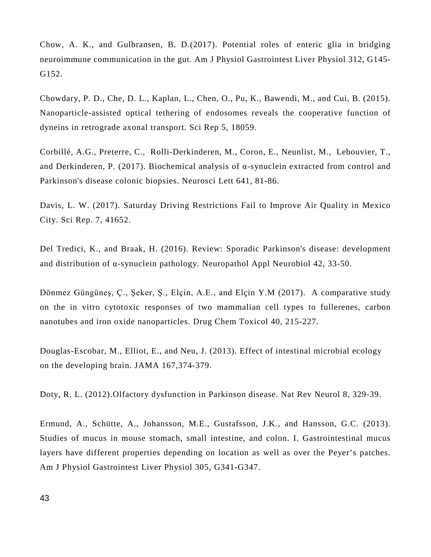Chow, A. K., and Gulbransen, B. D.(2017). Potential roles of enteric glia in bridging neuroimmune communication in the gut. Am J Physiol Gastrointest Liver Physiol 312, G145- G152.

Chowdary, P. D., Che, D. L., Kaplan, L., Chen, O., Pu, K., Bawendi, M., and Cui, B. (2015). Nanoparticle-assisted optical tethering of endosomes reveals the cooperative function of dyneins in retrograde axonal transport. Sci Rep 5, 18059.

Corbillé, A.G., Preterre, C., Rolli-Derkinderen, M., Coron, E., Neunlist, M., Lebouvier, T., and Derkinderen, P. (2017). Biochemical analysis of α-synuclein extracted from control and Parkinson's disease colonic biopsies. Neurosci Lett 641, 81-86.

Davis, L. W. (2017). Saturday Driving Restrictions Fail to Improve Air Quality in Mexico City. Sci Rep. 7, 41652.

Del Tredici, K., and Braak, H. (2016). Review: Sporadic Parkinson's disease: development and distribution of α-synuclein pathology. Neuropathol Appl Neurobiol 42, 33-50.

Dönmez Güngüneş, Ç., Şeker, Ş., Elçin, A.E., and Elçin Y.M (2017). A comparative study on the in vitro cytotoxic responses of two mammalian cell types to fullerenes, carbon nanotubes and iron oxide nanoparticles. Drug Chem Toxicol 40, 215-227.

Douglas-Escobar, M., Elliot, E., and Neu, J. (2013). Effect of intestinal microbial ecology on the developing brain. JAMA 167,374-379.

Doty, R. L. (2012).Olfactory dysfunction in Parkinson disease. Nat Rev Neurol 8, 329-39.

Ermund, A., Schütte, A., Johansson, M.E., Gustafsson, J.K., and Hansson, G.C. (2013). Studies of mucus in mouse stomach, small intestine, and colon. I. Gastrointestinal mucus layers have different properties depending on location as well as over the Peyer's patches. Am J Physiol Gastrointest Liver Physiol 305, G341-G347.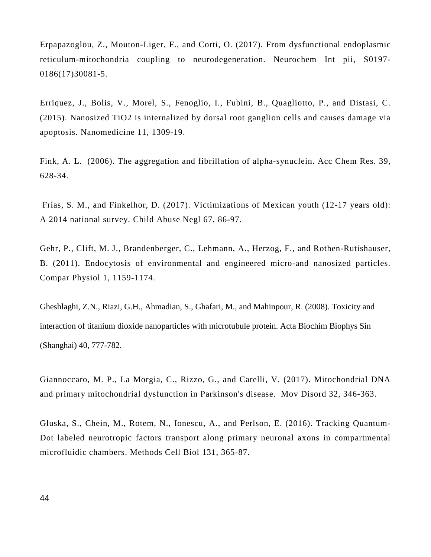Erpapazoglou, Z., Mouton-Liger, F., and Corti, O. (2017). From dysfunctional endoplasmic reticulum-mitochondria coupling to neurodegeneration. Neurochem Int pii, S0197- 0186(17)30081-5.

Erriquez, J., Bolis, V., Morel, S., Fenoglio, I., Fubini, B., Quagliotto, P., and Distasi, C. (2015). Nanosized TiO2 is internalized by dorsal root ganglion cells and causes damage via apoptosis. Nanomedicine 11, 1309-19.

Fink, A. L. (2006). The aggregation and fibrillation of alpha-synuclein. Acc Chem Res. 39, 628-34.

Frías, S. M., and Finkelhor, D. (2017). Victimizations of Mexican youth (12-17 years old): A 2014 national survey. Child Abuse Negl 67, 86-97.

Gehr, P., Clift, M. J., Brandenberger, C., Lehmann, A., Herzog, F., and Rothen-Rutishauser, B. (2011). Endocytosis of environmental and engineered micro-and nanosized particles. Compar Physiol 1, 1159-1174.

Gheshlaghi, Z.N., Riazi, G.H., Ahmadian, S., Ghafari, M., and Mahinpour, R. (2008). Toxicity and interaction of titanium dioxide nanoparticles with microtubule protein. Acta Biochim Biophys Sin (Shanghai) 40, 777-782.

Giannoccaro, M. P., La Morgia, C., Rizzo, G., and Carelli, V. (2017). Mitochondrial DNA and primary mitochondrial dysfunction in Parkinson's disease. Mov Disord 32, 346-363.

Gluska, S., Chein, M., Rotem, N., Ionescu, A., and Perlson, E. (2016). Tracking Quantum-Dot labeled neurotropic factors transport along primary neuronal axons in compartmental microfluidic chambers. Methods Cell Biol 131, 365-87.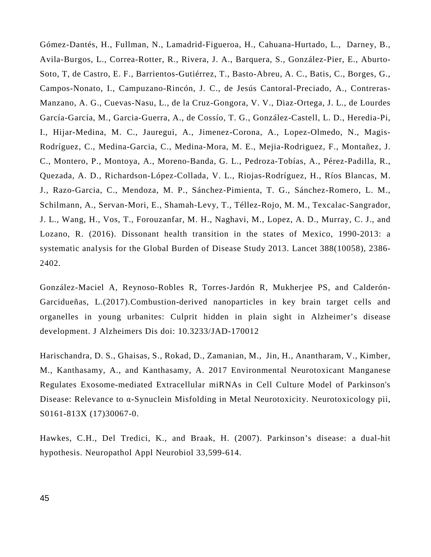Gómez-Dantés, H., Fullman, N., Lamadrid-Figueroa, H., Cahuana-Hurtado, L., Darney, B., Avila-Burgos, L., Correa-Rotter, R., Rivera, J. A., Barquera, S., González-Pier, E., Aburto-Soto, T, de Castro, E. F., Barrientos-Gutiérrez, T., Basto-Abreu, A. C., Batis, C., Borges, G., Campos-Nonato, I., Campuzano-Rincón, J. C., de Jesús Cantoral-Preciado, A., Contreras-Manzano, A. G., Cuevas-Nasu, L., de la Cruz-Gongora, V. V., Diaz-Ortega, J. L., de Lourdes García-García, M., Garcia-Guerra, A., de Cossío, T. G., González-Castell, L. D., Heredia-Pi, I., Hijar-Medina, M. C., Jauregui, A., Jimenez-Corona, A., Lopez-Olmedo, N., Magis-Rodríguez, C., Medina-Garcia, C., Medina-Mora, M. E., Mejia-Rodriguez, F., Montañez, J. C., Montero, P., Montoya, A., Moreno-Banda, G. L., Pedroza-Tobías, A., Pérez-Padilla, R., Quezada, A. D., Richardson-López-Collada, V. L., Riojas-Rodríguez, H., Ríos Blancas, M. J., Razo-Garcia, C., Mendoza, M. P., Sánchez-Pimienta, T. G., Sánchez-Romero, L. M., Schilmann, A., Servan-Mori, E., Shamah-Levy, T., Téllez-Rojo, M. M., Texcalac-Sangrador, J. L., Wang, H., Vos, T., Forouzanfar, M. H., Naghavi, M., Lopez, A. D., Murray, C. J., and Lozano, R. (2016). Dissonant health transition in the states of Mexico, 1990-2013: a systematic analysis for the Global Burden of Disease Study 2013. Lancet 388(10058), 2386- 2402.

González-Maciel A, Reynoso-Robles R, Torres-Jardón R, Mukherjee PS, and Calderón-Garcidueñas, L.(2017).Combustion-derived nanoparticles in key brain target cells and organelles in young urbanites: Culprit hidden in plain sight in Alzheimer's disease development. J Alzheimers Dis doi: 10.3233/JAD-170012

Harischandra, D. S., Ghaisas, S., Rokad, D., Zamanian, M., Jin, H., Anantharam, V., Kimber, M., Kanthasamy, A., and Kanthasamy, A. 2017 Environmental Neurotoxicant Manganese Regulates Exosome-mediated Extracellular miRNAs in Cell Culture Model of Parkinson's Disease: Relevance to α-Synuclein Misfolding in Metal Neurotoxicity. Neurotoxicology pii, S0161-813X (17)30067-0.

Hawkes, C.H., Del Tredici, K., and Braak, H. (2007). Parkinson's disease: a dual-hit hypothesis. Neuropathol Appl Neurobiol 33,599-614.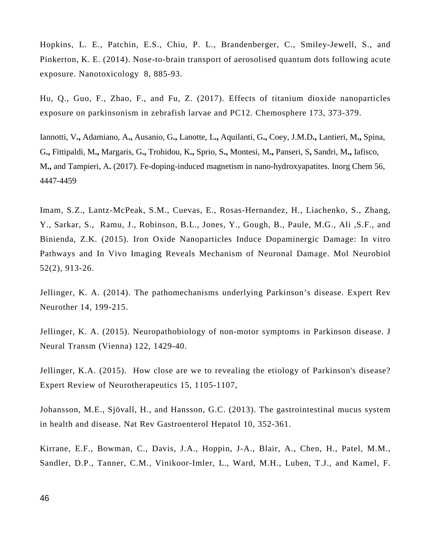Hopkins, L. E., Patchin, E.S., Chiu, P. L., Brandenberger, C., Smiley-Jewell, S., and Pinkerton, K. E. (2014). Nose-to-brain transport of aerosolised quantum dots following acute exposure. Nanotoxicology 8, 885-93.

Hu, Q., Guo, F., Zhao, F., and Fu, Z. (2017). Effects of titanium dioxide nanoparticles exposure on parkinsonism in zebrafish larvae and PC12. Chemosphere 173, 373-379.

[Iannotti, V](https://www.ncbi.nlm.nih.gov/pubmed/?term=Iannotti%20V%5BAuthor%5D&cauthor=true&cauthor_uid=28379709)**.,** [Adamiano, A](https://www.ncbi.nlm.nih.gov/pubmed/?term=Adamiano%20A%5BAuthor%5D&cauthor=true&cauthor_uid=28379709)**.,** [Ausanio, G](https://www.ncbi.nlm.nih.gov/pubmed/?term=Ausanio%20G%5BAuthor%5D&cauthor=true&cauthor_uid=28379709)**.,** [Lanotte, L](https://www.ncbi.nlm.nih.gov/pubmed/?term=Lanotte%20L%5BAuthor%5D&cauthor=true&cauthor_uid=28379709)**.,** [Aquilanti, G](https://www.ncbi.nlm.nih.gov/pubmed/?term=Aquilanti%20G%5BAuthor%5D&cauthor=true&cauthor_uid=28379709)**.,** [Coey, J.M.D](https://www.ncbi.nlm.nih.gov/pubmed/?term=Coey%20JMD%5BAuthor%5D&cauthor=true&cauthor_uid=28379709)**.,** [Lantieri, M](https://www.ncbi.nlm.nih.gov/pubmed/?term=Lantieri%20M%5BAuthor%5D&cauthor=true&cauthor_uid=28379709)**.,** [Spina,](https://www.ncbi.nlm.nih.gov/pubmed/?term=Spina%20G%5BAuthor%5D&cauthor=true&cauthor_uid=28379709)  [G](https://www.ncbi.nlm.nih.gov/pubmed/?term=Spina%20G%5BAuthor%5D&cauthor=true&cauthor_uid=28379709)**.,** [Fittipaldi, M](https://www.ncbi.nlm.nih.gov/pubmed/?term=Fittipaldi%20M%5BAuthor%5D&cauthor=true&cauthor_uid=28379709)**.,** [Margaris, G](https://www.ncbi.nlm.nih.gov/pubmed/?term=Margaris%20G%5BAuthor%5D&cauthor=true&cauthor_uid=28379709)**.,** [Trohidou, K](https://www.ncbi.nlm.nih.gov/pubmed/?term=Trohidou%20K%5BAuthor%5D&cauthor=true&cauthor_uid=28379709)**.,** [Sprio, S](https://www.ncbi.nlm.nih.gov/pubmed/?term=Sprio%20S%5BAuthor%5D&cauthor=true&cauthor_uid=28379709)**.,** [Montesi, M](https://www.ncbi.nlm.nih.gov/pubmed/?term=Montesi%20M%5BAuthor%5D&cauthor=true&cauthor_uid=28379709)**.,** [Panseri, S](https://www.ncbi.nlm.nih.gov/pubmed/?term=Panseri%20S%5BAuthor%5D&cauthor=true&cauthor_uid=28379709)**,** [Sandri, M](https://www.ncbi.nlm.nih.gov/pubmed/?term=Sandri%20M%5BAuthor%5D&cauthor=true&cauthor_uid=28379709)**.,** [Iafisco,](https://www.ncbi.nlm.nih.gov/pubmed/?term=Iafisco%20M%5BAuthor%5D&cauthor=true&cauthor_uid=28379709)  [M](https://www.ncbi.nlm.nih.gov/pubmed/?term=Iafisco%20M%5BAuthor%5D&cauthor=true&cauthor_uid=28379709)**.,** and [Tampieri,](https://www.ncbi.nlm.nih.gov/pubmed/?term=Tampieri%20A%5BAuthor%5D&cauthor=true&cauthor_uid=28379709) A**.** (2017). Fe-doping-induced magnetism in nano-hydroxyapatites. Inorg Chem 56, 4447-4459

Imam, S.Z., Lantz-McPeak, S.M., Cuevas, E., Rosas-Hernandez, H., Liachenko, S., Zhang, Y., Sarkar, S., Ramu, J., Robinson, B.L., Jones, Y., Gough, B., Paule, M.G., Ali ,S.F., and Binienda, Z.K. (2015). Iron Oxide Nanoparticles Induce Dopaminergic Damage: In vitro Pathways and In Vivo Imaging Reveals Mechanism of Neuronal Damage. Mol Neurobiol 52(2), 913-26.

Jellinger, K. A. (2014). The pathomechanisms underlying Parkinson's disease. Expert Rev Neurother 14, 199-215.

Jellinger, K. A. (2015). Neuropathobiology of non-motor symptoms in Parkinson disease. J Neural Transm (Vienna) 122, 1429-40.

Jellinger, K.A. (2015). How close are we to revealing the etiology of Parkinson's disease? Expert Review of Neurotherapeutics 15, 1105-1107,

Johansson, M.E., Sjövall, H., and Hansson, G.C. (2013). The gastrointestinal mucus system in health and disease. Nat Rev Gastroenterol Hepatol 10, 352-361.

Kirrane, E.F., Bowman, C., Davis, J.A., Hoppin, J-A., Blair, A., Chen, H., Patel, M.M., Sandler, D.P., Tanner, C.M., Vinikoor-Imler, L., Ward, M.H., Luben, T.J., and Kamel, F.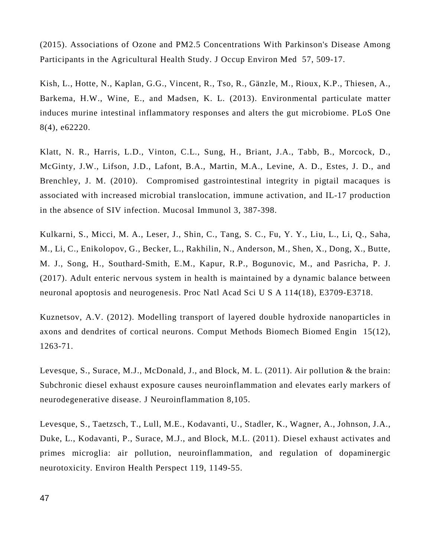(2015). Associations of Ozone and PM2.5 Concentrations With Parkinson's Disease Among Participants in the Agricultural Health Study. J Occup Environ Med 57, 509-17.

Kish, L., Hotte, N., Kaplan, G.G., Vincent, R., Tso, R., Gänzle, M., Rioux, K.P., Thiesen, A., Barkema, H.W., Wine, E., and Madsen, K. L. (2013). Environmental particulate matter induces murine intestinal inflammatory responses and alters the gut microbiome. PLoS One 8(4), e62220.

Klatt, N. R., Harris, L.D., Vinton, C.L., Sung, H., Briant, J.A., Tabb, B., Morcock, D., McGinty, J.W., Lifson, J.D., Lafont, B.A., Martin, M.A., Levine, A. D., Estes, J. D., and Brenchley, J. M. (2010). Compromised gastrointestinal integrity in pigtail macaques is associated with increased microbial translocation, immune activation, and IL-17 production in the absence of SIV infection. Mucosal Immunol 3, 387-398.

Kulkarni, S., Micci, M. A., Leser, J., Shin, C., Tang, S. C., Fu, Y. Y., Liu, L., Li, Q., Saha, M., Li, C., Enikolopov, G., Becker, L., Rakhilin, N., Anderson, M., Shen, X., Dong, X., Butte, M. J., Song, H., Southard-Smith, E.M., Kapur, R.P., Bogunovic, M., and Pasricha, P. J. (2017). Adult enteric nervous system in health is maintained by a dynamic balance between neuronal apoptosis and neurogenesis. Proc Natl Acad Sci U S A 114(18), E3709-E3718.

Kuznetsov, A.V. (2012). Modelling transport of layered double hydroxide nanoparticles in axons and dendrites of cortical neurons. Comput Methods Biomech Biomed Engin 15(12), 1263-71.

Levesque, S., Surace, M.J., McDonald, J., and Block, M. L. (2011). Air pollution & the brain: Subchronic diesel exhaust exposure causes neuroinflammation and elevates early markers of neurodegenerative disease. J Neuroinflammation 8,105.

Levesque, S., Taetzsch, T., Lull, M.E., Kodavanti, U., Stadler, K., Wagner, A., Johnson, J.A., Duke, L., Kodavanti, P., Surace, M.J., and Block, M.L. (2011). Diesel exhaust activates and primes microglia: air pollution, neuroinflammation, and regulation of dopaminergic neurotoxicity. Environ Health Perspect 119, 1149-55.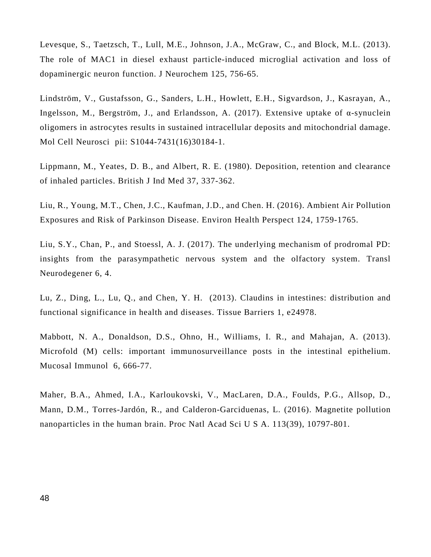Levesque, S., Taetzsch, T., Lull, M.E., Johnson, J.A., McGraw, C., and Block, M.L. (2013). The role of MAC1 in diesel exhaust particle-induced microglial activation and loss of dopaminergic neuron function. J Neurochem 125, 756-65.

Lindström, V., Gustafsson, G., Sanders, L.H., Howlett, E.H., Sigvardson, J., Kasrayan, A., Ingelsson, M., Bergström, J., and Erlandsson, A. (2017). Extensive uptake of  $\alpha$ -synuclein oligomers in astrocytes results in sustained intracellular deposits and mitochondrial damage. Mol Cell Neurosci pii: S1044-7431(16)30184-1.

Lippmann, M., Yeates, D. B., and Albert, R. E. (1980). Deposition, retention and clearance of inhaled particles. British J Ind Med 37, 337-362.

Liu, R., Young, M.T., Chen, J.C., Kaufman, J.D., and Chen. H. (2016). Ambient Air Pollution Exposures and Risk of Parkinson Disease. Environ Health Perspect 124, 1759-1765.

Liu, S.Y., Chan, P., and Stoessl, A. J. (2017). The underlying mechanism of prodromal PD: insights from the parasympathetic nervous system and the olfactory system. Transl Neurodegener 6, 4.

Lu, Z., Ding, L., Lu, Q., and Chen, Y. H. (2013). Claudins in intestines: distribution and functional significance in health and diseases. Tissue Barriers 1, e24978.

Mabbott, N. A., Donaldson, D.S., Ohno, H., Williams, I. R., and Mahajan, A. (2013). Microfold (M) cells: important immunosurveillance posts in the intestinal epithelium. Mucosal Immunol 6, 666-77.

Maher, B.A., Ahmed, I.A., Karloukovski, V., MacLaren, D.A., Foulds, P.G., Allsop, D., Mann, D.M., Torres-Jardón, R., and Calderon-Garciduenas, L. (2016). Magnetite pollution nanoparticles in the human brain. Proc Natl Acad Sci U S A. 113(39), 10797-801.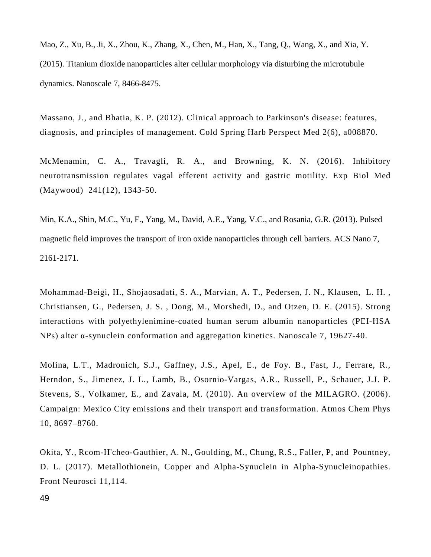Mao, Z., Xu, B., Ji, X., Zhou, K., Zhang, X., Chen, M., Han, X., Tang, Q., Wang, X., and Xia, Y. (2015). Titanium dioxide nanoparticles alter cellular morphology via disturbing the microtubule dynamics. Nanoscale 7, 8466-8475.

Massano, J., and Bhatia, K. P. (2012). Clinical approach to Parkinson's disease: features, diagnosis, and principles of management. Cold Spring Harb Perspect Med 2(6), a008870.

McMenamin, C. A., Travagli, R. A., and Browning, K. N. (2016). Inhibitory neurotransmission regulates vagal efferent activity and gastric motility. Exp Biol Med (Maywood) 241(12), 1343-50.

Min, K.A., Shin, M.C., Yu, F., Yang, M., David, A.E., Yang, V.C., and Rosania, G.R. (2013). Pulsed magnetic field improves the transport of iron oxide nanoparticles through cell barriers. ACS Nano 7, 2161-2171.

Mohammad-Beigi, H., Shojaosadati, S. A., Marvian, A. T., Pedersen, J. N., Klausen, L. H. , Christiansen, G., Pedersen, J. S. , Dong, M., Morshedi, D., and Otzen, D. E. (2015). Strong interactions with polyethylenimine-coated human serum albumin nanoparticles (PEI-HSA NPs) alter α-synuclein conformation and aggregation kinetics. Nanoscale 7, 19627-40.

Molina, L.T., Madronich, S.J., Gaffney, J.S., Apel, E., de Foy. B., Fast, J., Ferrare, R., Herndon, S., Jimenez, J. L., Lamb, B., Osornio-Vargas, A.R., Russell, P., Schauer, J.J. P. Stevens, S., Volkamer, E., and Zavala, M. (2010). An overview of the MILAGRO. (2006). Campaign: Mexico City emissions and their transport and transformation. Atmos Chem Phys 10, 8697–8760.

Okita, Y., Rcom-H'cheo-Gauthier, A. N., Goulding, M., Chung, R.S., Faller, P, and Pountney, D. L. (2017). Metallothionein, Copper and Alpha-Synuclein in Alpha-Synucleinopathies. Front Neurosci 11,114.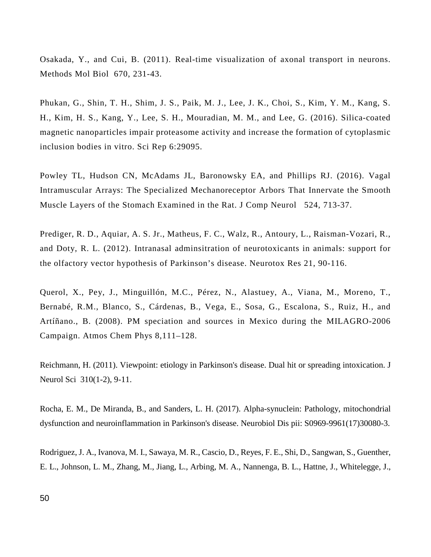Osakada, Y., and Cui, B. (2011). Real-time visualization of axonal transport in neurons. Methods Mol Biol 670, 231-43.

Phukan, G., Shin, T. H., Shim, J. S., Paik, M. J., Lee, J. K., Choi, S., Kim, Y. M., Kang, S. H., Kim, H. S., Kang, Y., Lee, S. H., Mouradian, M. M., and Lee, G. (2016). Silica-coated magnetic nanoparticles impair proteasome activity and increase the formation of cytoplasmic inclusion bodies in vitro. Sci Rep 6:29095.

Powley TL, Hudson CN, McAdams JL, Baronowsky EA, and Phillips RJ. (2016). Vagal Intramuscular Arrays: The Specialized Mechanoreceptor Arbors That Innervate the Smooth Muscle Layers of the Stomach Examined in the Rat. J Comp Neurol 524, 713-37.

Prediger, R. D., Aquiar, A. S. Jr., Matheus, F. C., Walz, R., Antoury, L., Raisman-Vozari, R., and Doty, R. L. (2012). Intranasal adminsitration of neurotoxicants in animals: support for the olfactory vector hypothesis of Parkinson's disease. Neurotox Res 21, 90-116.

Querol, X., Pey, J., Minguillón, M.C., Pérez, N., Alastuey, A., Viana, M., Moreno, T., Bernabé, R.M., Blanco, S., Cárdenas, B., Vega, E., Sosa, G., Escalona, S., Ruiz, H., and Artíñano., B. (2008). PM speciation and sources in Mexico during the MILAGRO-2006 Campaign. Atmos Chem Phys 8,111–128.

Reichmann, H. (2011). Viewpoint: etiology in Parkinson's disease. Dual hit or spreading intoxication. J Neurol Sci 310(1-2), 9-11.

Rocha, E. M., De Miranda, B., and Sanders, L. H. (2017). Alpha-synuclein: Pathology, mitochondrial dysfunction and neuroinflammation in Parkinson's disease. Neurobiol Dis pii: S0969-9961(17)30080-3.

Rodriguez, J. A., Ivanova, M. I., Sawaya, M. R., Cascio, D., Reyes, F. E., Shi, D., Sangwan, S., Guenther, E. L., Johnson, L. M., Zhang, M., Jiang, L., Arbing, M. A., Nannenga, B. L., Hattne, J., Whitelegge, J.,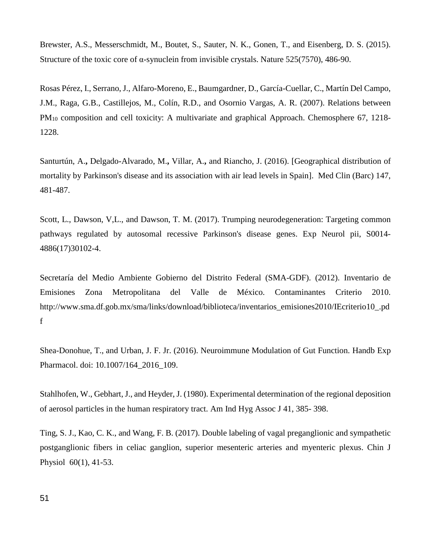Brewster, A.S., Messerschmidt, M., Boutet, S., Sauter, N. K., Gonen, T., and Eisenberg, D. S. (2015). Structure of the toxic core of α-synuclein from invisible crystals. Nature 525(7570), 486-90.

Rosas Pérez, I., Serrano, J., Alfaro-Moreno, E., Baumgardner, D., García-Cuellar, C., Martín Del Campo, J.M., Raga, G.B., Castillejos, M., Colín, R.D., and Osornio Vargas, A. R. (2007). Relations between PM10 composition and cell toxicity: A multivariate and graphical Approach. Chemosphere 67, 1218- 1228.

[Santurtún, A.](https://www.ncbi.nlm.nih.gov/pubmed/?term=Santurt%C3%BAn%20A%5BAuthor%5D&cauthor=true&cauthor_uid=27697291)**,** [Delgado-Alvarado, M.](https://www.ncbi.nlm.nih.gov/pubmed/?term=Delgado-Alvarado%20M%5BAuthor%5D&cauthor=true&cauthor_uid=27697291)**,** [Villar, A.](https://www.ncbi.nlm.nih.gov/pubmed/?term=Villar%20A%5BAuthor%5D&cauthor=true&cauthor_uid=27697291)**,** and [Riancho, J.](https://www.ncbi.nlm.nih.gov/pubmed/?term=Riancho%20J%5BAuthor%5D&cauthor=true&cauthor_uid=27697291) (2016). [Geographical distribution of mortality by Parkinson's disease and its association with air lead levels in Spain]. [Med Clin \(Barc\)](https://www.ncbi.nlm.nih.gov/pubmed/27697291) 147, 481-487.

Scott, L., Dawson, V,L., and Dawson, T. M. (2017). Trumping neurodegeneration: Targeting common pathways regulated by autosomal recessive Parkinson's disease genes. Exp Neurol pii, S0014- 4886(17)30102-4.

Secretaría del Medio Ambiente Gobierno del Distrito Federal (SMA-GDF). (2012). Inventario de Emisiones Zona Metropolitana del Valle de México. Contaminantes Criterio 2010. http://www.sma.df.gob.mx/sma/links/download/biblioteca/inventarios\_emisiones2010/IEcriterio10\_.pd f

[Shea-Donohue, T.](https://www.ncbi.nlm.nih.gov/pubmed/?term=Shea-Donohue%20T%5BAuthor%5D&cauthor=true&cauthor_uid=28035531), and [Urban, J. F. Jr.](https://www.ncbi.nlm.nih.gov/pubmed/?term=Urban%20JF%20Jr%5BAuthor%5D&cauthor=true&cauthor_uid=28035531) (2016). Neuroimmune Modulation of Gut Function. [Handb Exp](https://www.ncbi.nlm.nih.gov/pubmed/28035531)  [Pharmacol.](https://www.ncbi.nlm.nih.gov/pubmed/28035531) doi: 10.1007/164\_2016\_109.

Stahlhofen, W., Gebhart, J., and Heyder, J. (1980). Experimental determination of the regional deposition of aerosol particles in the human respiratory tract. Am Ind Hyg Assoc J 41, 385- 398.

Ting, S. J., Kao, C. K., and Wang, F. B. (2017). Double labeling of vagal preganglionic and sympathetic postganglionic fibers in celiac ganglion, superior mesenteric arteries and myenteric plexus. Chin J Physiol 60(1), 41-53.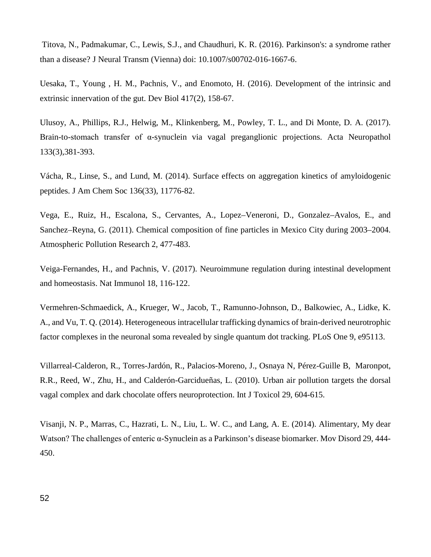Titova, N., Padmakumar, C., Lewis, S.J., and Chaudhuri, K. R. (2016). Parkinson's: a syndrome rather than a disease? J Neural Transm (Vienna) doi: 10.1007/s00702-016-1667-6.

Uesaka, T., Young , H. M., Pachnis, V., and Enomoto, H. (2016). Development of the intrinsic and extrinsic innervation of the gut. Dev Biol 417(2), 158-67.

Ulusoy, A., Phillips, R.J., Helwig, M., Klinkenberg, M., Powley, T. L., and Di Monte, D. A. (2017). Brain-to-stomach transfer of α-synuclein via vagal preganglionic projections. Acta Neuropathol 133(3),381-393.

Vácha, R., Linse, S., and Lund, M. (2014). Surface effects on aggregation kinetics of amyloidogenic peptides. J Am Chem Soc 136(33), 11776-82.

Vega, E., Ruiz, H., Escalona, S., Cervantes, A., Lopez–Veneroni, D., Gonzalez–Avalos, E., and Sanchez–Reyna, G. (2011). Chemical composition of fine particles in Mexico City during 2003–2004. Atmospheric Pollution Research 2, 477-483.

Veiga-Fernandes, H., and Pachnis, V. (2017). Neuroimmune regulation during intestinal development and homeostasis. Nat Immunol 18, 116-122.

Vermehren-Schmaedick, A., Krueger, W., Jacob, T., Ramunno-Johnson, D., Balkowiec, A., Lidke, K. A., and Vu, T. Q. (2014). Heterogeneous intracellular trafficking dynamics of brain-derived neurotrophic factor complexes in the neuronal soma revealed by single quantum dot tracking. PLoS One 9, e95113.

Villarreal-Calderon, R., Torres-Jardón, R., Palacios-Moreno, J., Osnaya N, Pérez-Guille B, Maronpot, R.R., Reed, W., Zhu, H., and Calderón-Garcidueñas, L. (2010). Urban air pollution targets the dorsal vagal complex and dark chocolate offers neuroprotection. Int J Toxicol 29, 604-615.

Visanji, N. P., Marras, C., Hazrati, L. N., Liu, L. W. C., and Lang, A. E. (2014). Alimentary, My dear Watson? The challenges of enteric α-Synuclein as a Parkinson's disease biomarker. Mov Disord 29, 444- 450.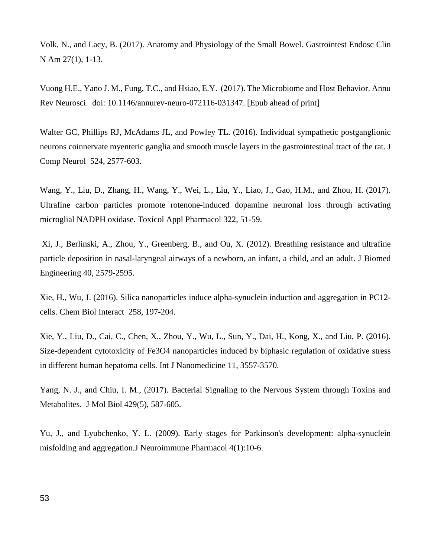Volk, N., and Lacy, B. (2017). Anatomy and Physiology of the Small Bowel. Gastrointest Endosc Clin N Am 27(1), 1-13.

Vuong H.E., Yano J. M., Fung, T.C., and Hsiao, E.Y. (2017). The Microbiome and Host Behavior. Annu Rev Neurosci. doi: 10.1146/annurev-neuro-072116-031347. [Epub ahead of print]

Walter GC, Phillips RJ, McAdams JL, and Powley TL. (2016). Individual sympathetic postganglionic neurons coinnervate myenteric ganglia and smooth muscle layers in the gastrointestinal tract of the rat. J Comp Neurol 524, 2577-603.

Wang, Y., Liu, D., Zhang, H., Wang, Y., Wei, L., Liu, Y., Liao, J., Gao, H.M., and Zhou, H. (2017). Ultrafine carbon particles promote rotenone-induced dopamine neuronal loss through activating microglial NADPH oxidase. Toxicol Appl Pharmacol 322, 51-59.

Xi, J., Berlinski, A., Zhou, Y., Greenberg, B., and Ou, X. (2012). Breathing resistance and ultrafine particle deposition in nasal-laryngeal airways of a newborn, an infant, a child, and an adult. J Biomed Engineering 40, 2579-2595.

Xie, H., Wu, J. (2016). Silica nanoparticles induce alpha-synuclein induction and aggregation in PC12 cells. Chem Biol Interact 258, 197-204.

Xie, Y., Liu, D., Cai, C., Chen, X., Zhou, Y., Wu, L., Sun, Y., Dai, H., Kong, X., and Liu, P. (2016). Size-dependent cytotoxicity of Fe3O4 nanoparticles induced by biphasic regulation of oxidative stress in different human hepatoma cells. Int J Nanomedicine 11, 3557-3570.

Yang, N. J., and Chiu, I. M., (2017). Bacterial Signaling to the Nervous System through Toxins and Metabolites. J Mol Biol 429(5), 587-605.

Yu, J., and Lyubchenko, Y. L. (2009). Early stages for Parkinson's development: alpha-synuclein misfolding and aggregation.J Neuroimmune Pharmacol 4(1):10-6.